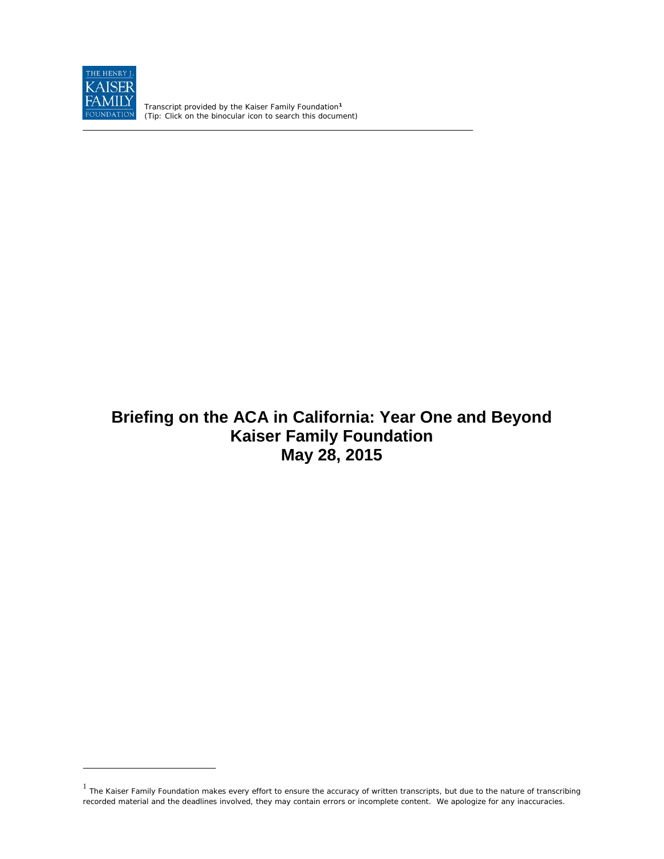

 $\overline{a}$ 

Transcript provided by the Kaiser Family Foundation**[1](#page-0-0)** *(Tip: Click on the binocular icon to search this document)*

# **Briefing on the ACA in California: Year One and Beyond Kaiser Family Foundation May 28, 2015**

<span id="page-0-0"></span> $<sup>1</sup>$  The Kaiser Family Foundation makes every effort to ensure the accuracy of written transcripts, but due to the nature of transcribing</sup> recorded material and the deadlines involved, they may contain errors or incomplete content. We apologize for any inaccuracies.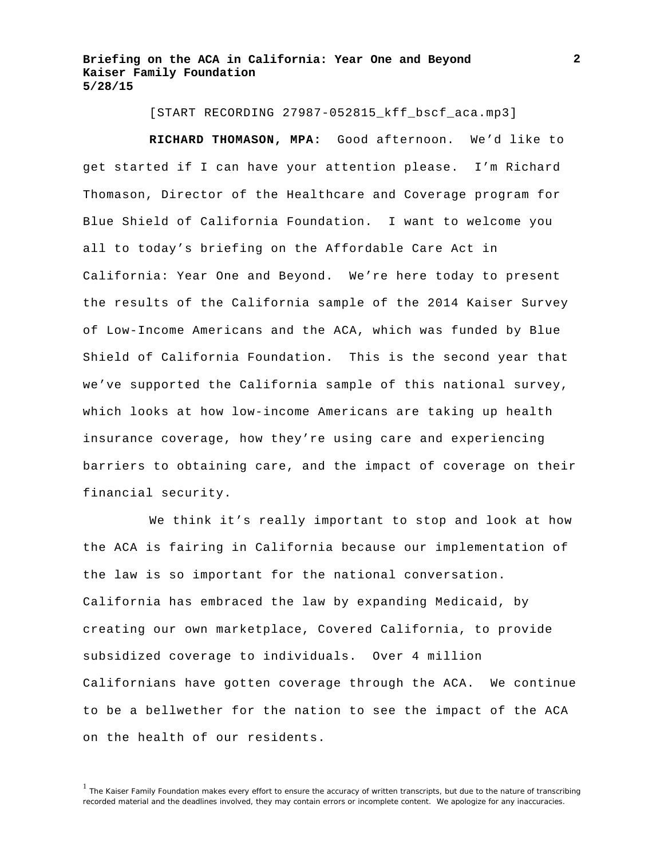[START RECORDING 27987-052815\_kff\_bscf\_aca.mp3]

**RICHARD THOMASON, MPA:** Good afternoon. We'd like to get started if I can have your attention please. I'm Richard Thomason, Director of the Healthcare and Coverage program for Blue Shield of California Foundation. I want to welcome you all to today's briefing on the Affordable Care Act in California: Year One and Beyond. We're here today to present the results of the California sample of the 2014 Kaiser Survey of Low-Income Americans and the ACA, which was funded by Blue Shield of California Foundation. This is the second year that we've supported the California sample of this national survey, which looks at how low-income Americans are taking up health insurance coverage, how they're using care and experiencing barriers to obtaining care, and the impact of coverage on their financial security.

We think it's really important to stop and look at how the ACA is fairing in California because our implementation of the law is so important for the national conversation. California has embraced the law by expanding Medicaid, by creating our own marketplace, Covered California, to provide subsidized coverage to individuals. Over 4 million Californians have gotten coverage through the ACA. We continue to be a bellwether for the nation to see the impact of the ACA on the health of our residents.

<sup>&</sup>lt;sup>1</sup> The Kaiser Family Foundation makes every effort to ensure the accuracy of written transcripts, but due to the nature of transcribing recorded material and the deadlines involved, they may contain errors or incomplete content. We apologize for any inaccuracies.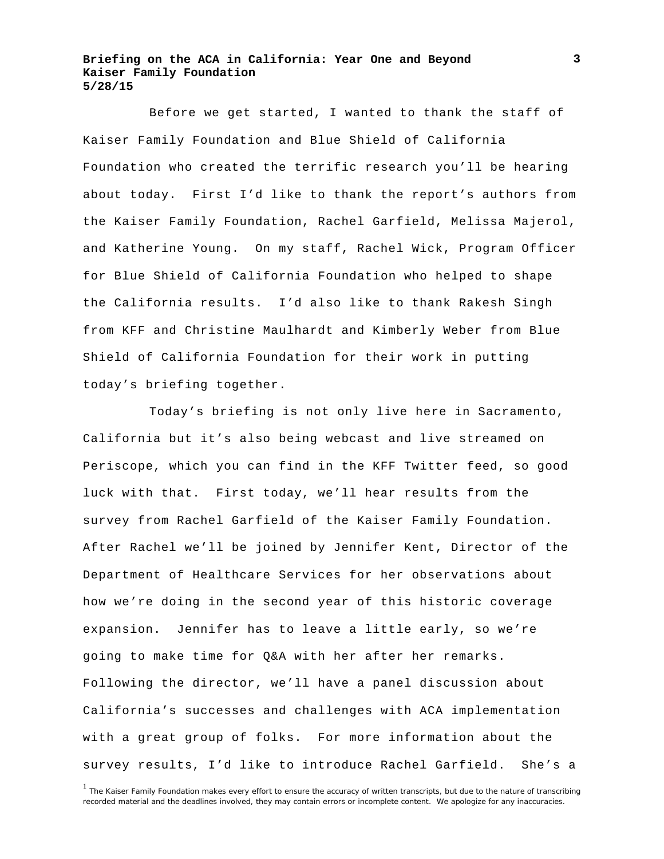Before we get started, I wanted to thank the staff of Kaiser Family Foundation and Blue Shield of California Foundation who created the terrific research you'll be hearing about today. First I'd like to thank the report's authors from the Kaiser Family Foundation, Rachel Garfield, Melissa Majerol, and Katherine Young. On my staff, Rachel Wick, Program Officer for Blue Shield of California Foundation who helped to shape the California results. I'd also like to thank Rakesh Singh from KFF and Christine Maulhardt and Kimberly Weber from Blue Shield of California Foundation for their work in putting today's briefing together.

Today's briefing is not only live here in Sacramento, California but it's also being webcast and live streamed on Periscope, which you can find in the KFF Twitter feed, so good luck with that. First today, we'll hear results from the survey from Rachel Garfield of the Kaiser Family Foundation. After Rachel we'll be joined by Jennifer Kent, Director of the Department of Healthcare Services for her observations about how we're doing in the second year of this historic coverage expansion. Jennifer has to leave a little early, so we're going to make time for Q&A with her after her remarks. Following the director, we'll have a panel discussion about California's successes and challenges with ACA implementation with a great group of folks. For more information about the survey results, I'd like to introduce Rachel Garfield. She's a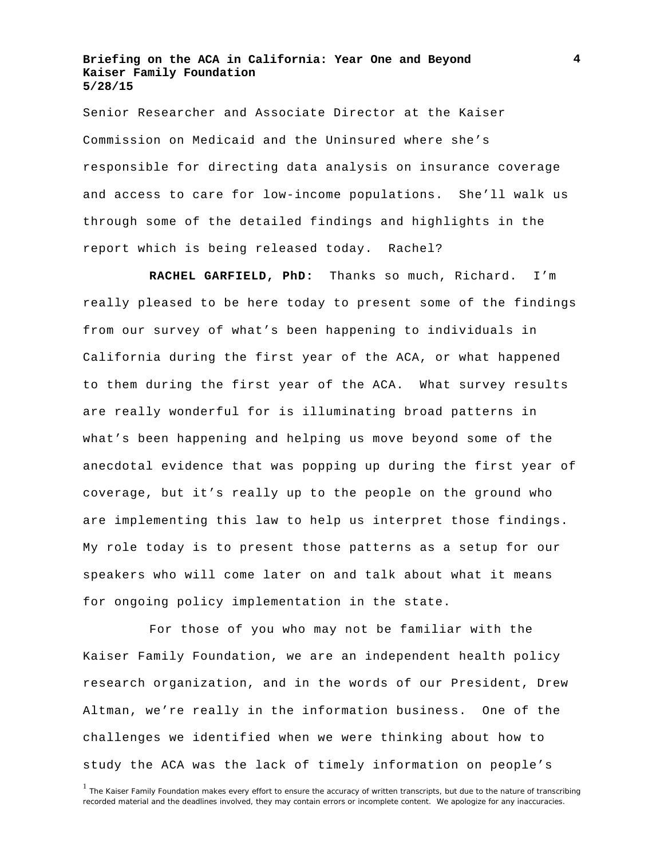Senior Researcher and Associate Director at the Kaiser Commission on Medicaid and the Uninsured where she's responsible for directing data analysis on insurance coverage and access to care for low-income populations. She'll walk us through some of the detailed findings and highlights in the report which is being released today. Rachel?

**RACHEL GARFIELD, PhD:** Thanks so much, Richard. I'm really pleased to be here today to present some of the findings from our survey of what's been happening to individuals in California during the first year of the ACA, or what happened to them during the first year of the ACA. What survey results are really wonderful for is illuminating broad patterns in what's been happening and helping us move beyond some of the anecdotal evidence that was popping up during the first year of coverage, but it's really up to the people on the ground who are implementing this law to help us interpret those findings. My role today is to present those patterns as a setup for our speakers who will come later on and talk about what it means for ongoing policy implementation in the state.

For those of you who may not be familiar with the Kaiser Family Foundation, we are an independent health policy research organization, and in the words of our President, Drew Altman, we're really in the information business. One of the challenges we identified when we were thinking about how to study the ACA was the lack of timely information on people's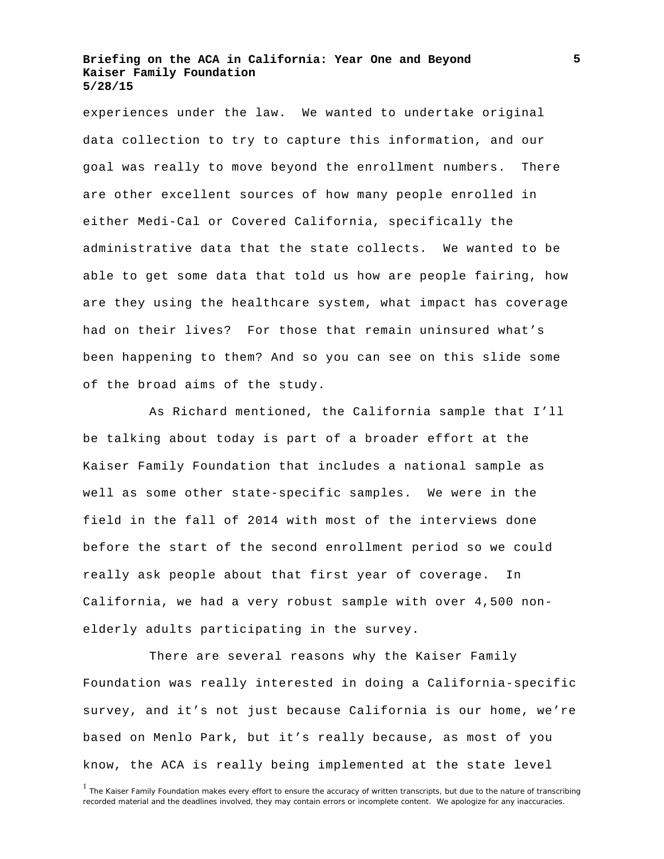experiences under the law. We wanted to undertake original data collection to try to capture this information, and our goal was really to move beyond the enrollment numbers. There are other excellent sources of how many people enrolled in either Medi-Cal or Covered California, specifically the administrative data that the state collects. We wanted to be able to get some data that told us how are people fairing, how are they using the healthcare system, what impact has coverage had on their lives? For those that remain uninsured what's been happening to them? And so you can see on this slide some of the broad aims of the study.

As Richard mentioned, the California sample that I'll be talking about today is part of a broader effort at the Kaiser Family Foundation that includes a national sample as well as some other state-specific samples. We were in the field in the fall of 2014 with most of the interviews done before the start of the second enrollment period so we could really ask people about that first year of coverage. In California, we had a very robust sample with over 4,500 nonelderly adults participating in the survey.

There are several reasons why the Kaiser Family Foundation was really interested in doing a California-specific survey, and it's not just because California is our home, we're based on Menlo Park, but it's really because, as most of you know, the ACA is really being implemented at the state level

<sup>&</sup>lt;sup>1</sup> The Kaiser Family Foundation makes every effort to ensure the accuracy of written transcripts, but due to the nature of transcribing recorded material and the deadlines involved, they may contain errors or incomplete content. We apologize for any inaccuracies.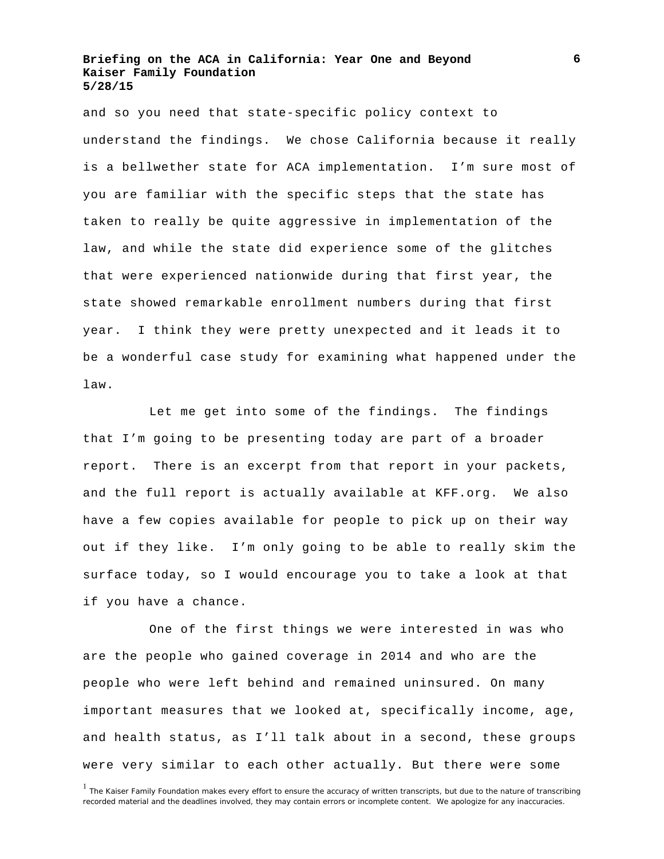and so you need that state-specific policy context to understand the findings. We chose California because it really is a bellwether state for ACA implementation. I'm sure most of you are familiar with the specific steps that the state has taken to really be quite aggressive in implementation of the law, and while the state did experience some of the glitches that were experienced nationwide during that first year, the state showed remarkable enrollment numbers during that first year. I think they were pretty unexpected and it leads it to be a wonderful case study for examining what happened under the law.

Let me get into some of the findings. The findings that I'm going to be presenting today are part of a broader report. There is an excerpt from that report in your packets, and the full report is actually available at KFF.org. We also have a few copies available for people to pick up on their way out if they like. I'm only going to be able to really skim the surface today, so I would encourage you to take a look at that if you have a chance.

One of the first things we were interested in was who are the people who gained coverage in 2014 and who are the people who were left behind and remained uninsured. On many important measures that we looked at, specifically income, age, and health status, as I'll talk about in a second, these groups were very similar to each other actually. But there were some

<sup>&</sup>lt;sup>1</sup> The Kaiser Family Foundation makes every effort to ensure the accuracy of written transcripts, but due to the nature of transcribing recorded material and the deadlines involved, they may contain errors or incomplete content. We apologize for any inaccuracies.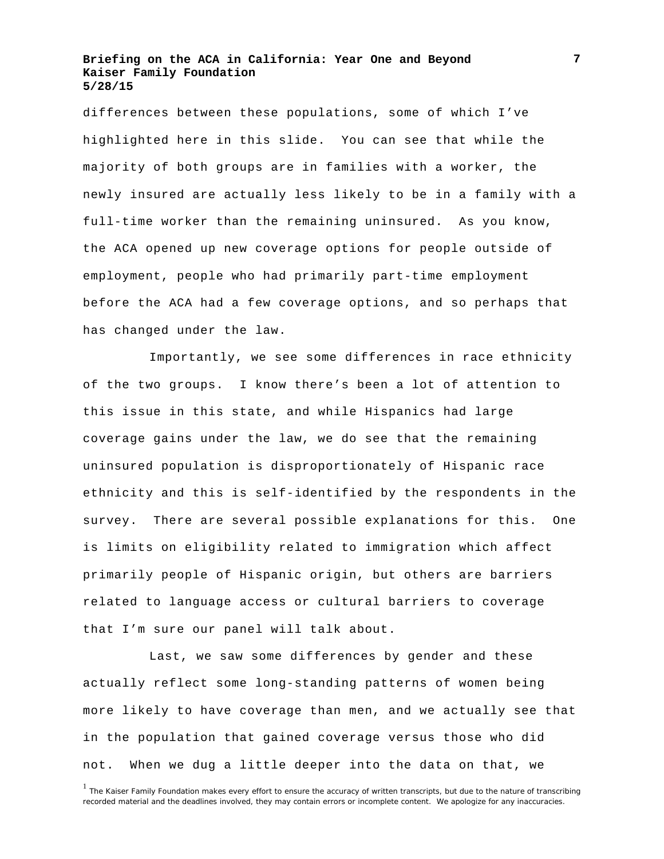differences between these populations, some of which I've highlighted here in this slide. You can see that while the majority of both groups are in families with a worker, the newly insured are actually less likely to be in a family with a full-time worker than the remaining uninsured. As you know, the ACA opened up new coverage options for people outside of employment, people who had primarily part-time employment before the ACA had a few coverage options, and so perhaps that has changed under the law.

Importantly, we see some differences in race ethnicity of the two groups. I know there's been a lot of attention to this issue in this state, and while Hispanics had large coverage gains under the law, we do see that the remaining uninsured population is disproportionately of Hispanic race ethnicity and this is self-identified by the respondents in the survey. There are several possible explanations for this. One is limits on eligibility related to immigration which affect primarily people of Hispanic origin, but others are barriers related to language access or cultural barriers to coverage that I'm sure our panel will talk about.

Last, we saw some differences by gender and these actually reflect some long-standing patterns of women being more likely to have coverage than men, and we actually see that in the population that gained coverage versus those who did not. When we dug a little deeper into the data on that, we

<sup>&</sup>lt;sup>1</sup> The Kaiser Family Foundation makes every effort to ensure the accuracy of written transcripts, but due to the nature of transcribing recorded material and the deadlines involved, they may contain errors or incomplete content. We apologize for any inaccuracies.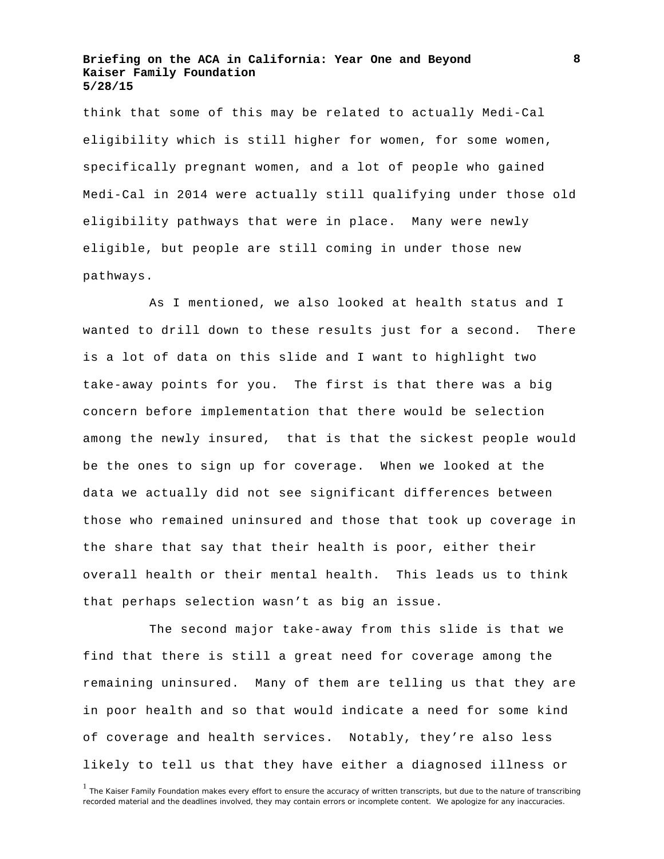think that some of this may be related to actually Medi-Cal eligibility which is still higher for women, for some women, specifically pregnant women, and a lot of people who gained Medi-Cal in 2014 were actually still qualifying under those old eligibility pathways that were in place. Many were newly eligible, but people are still coming in under those new pathways.

As I mentioned, we also looked at health status and I wanted to drill down to these results just for a second. There is a lot of data on this slide and I want to highlight two take-away points for you. The first is that there was a big concern before implementation that there would be selection among the newly insured, that is that the sickest people would be the ones to sign up for coverage. When we looked at the data we actually did not see significant differences between those who remained uninsured and those that took up coverage in the share that say that their health is poor, either their overall health or their mental health. This leads us to think that perhaps selection wasn't as big an issue.

The second major take-away from this slide is that we find that there is still a great need for coverage among the remaining uninsured. Many of them are telling us that they are in poor health and so that would indicate a need for some kind of coverage and health services. Notably, they're also less likely to tell us that they have either a diagnosed illness or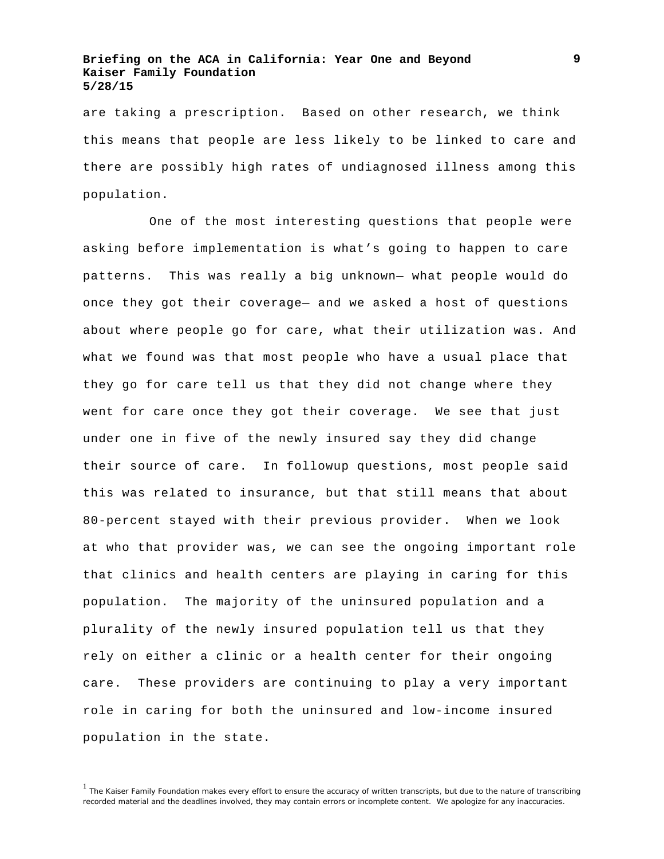are taking a prescription. Based on other research, we think this means that people are less likely to be linked to care and there are possibly high rates of undiagnosed illness among this population.

One of the most interesting questions that people were asking before implementation is what's going to happen to care patterns. This was really a big unknown— what people would do once they got their coverage— and we asked a host of questions about where people go for care, what their utilization was. And what we found was that most people who have a usual place that they go for care tell us that they did not change where they went for care once they got their coverage. We see that just under one in five of the newly insured say they did change their source of care. In followup questions, most people said this was related to insurance, but that still means that about 80-percent stayed with their previous provider. When we look at who that provider was, we can see the ongoing important role that clinics and health centers are playing in caring for this population. The majority of the uninsured population and a plurality of the newly insured population tell us that they rely on either a clinic or a health center for their ongoing care. These providers are continuing to play a very important role in caring for both the uninsured and low-income insured population in the state.

<sup>&</sup>lt;sup>1</sup> The Kaiser Family Foundation makes every effort to ensure the accuracy of written transcripts, but due to the nature of transcribing recorded material and the deadlines involved, they may contain errors or incomplete content. We apologize for any inaccuracies.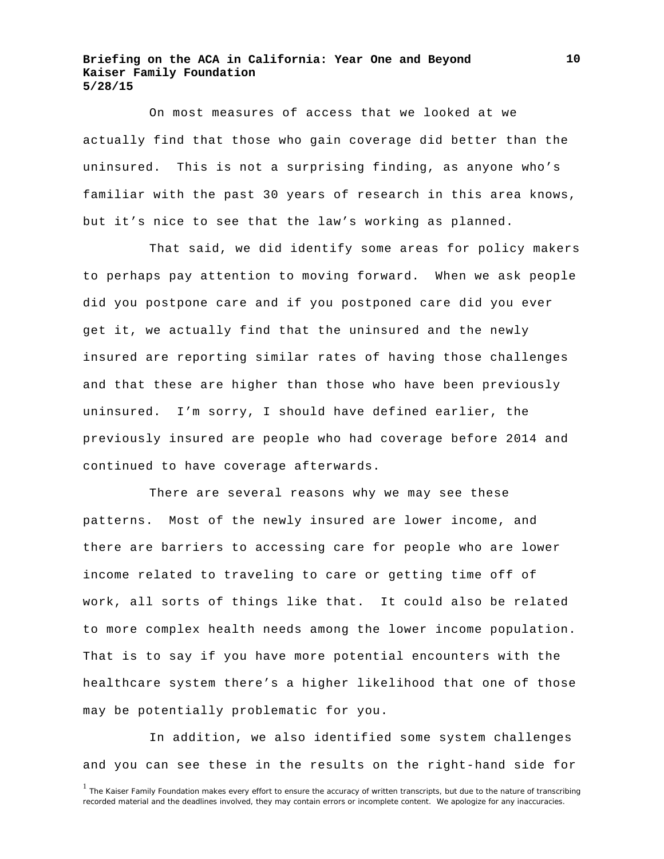On most measures of access that we looked at we actually find that those who gain coverage did better than the uninsured. This is not a surprising finding, as anyone who's familiar with the past 30 years of research in this area knows, but it's nice to see that the law's working as planned.

That said, we did identify some areas for policy makers to perhaps pay attention to moving forward. When we ask people did you postpone care and if you postponed care did you ever get it, we actually find that the uninsured and the newly insured are reporting similar rates of having those challenges and that these are higher than those who have been previously uninsured. I'm sorry, I should have defined earlier, the previously insured are people who had coverage before 2014 and continued to have coverage afterwards.

There are several reasons why we may see these patterns. Most of the newly insured are lower income, and there are barriers to accessing care for people who are lower income related to traveling to care or getting time off of work, all sorts of things like that. It could also be related to more complex health needs among the lower income population. That is to say if you have more potential encounters with the healthcare system there's a higher likelihood that one of those may be potentially problematic for you.

In addition, we also identified some system challenges and you can see these in the results on the right-hand side for

<sup>&</sup>lt;sup>1</sup> The Kaiser Family Foundation makes every effort to ensure the accuracy of written transcripts, but due to the nature of transcribing recorded material and the deadlines involved, they may contain errors or incomplete content. We apologize for any inaccuracies.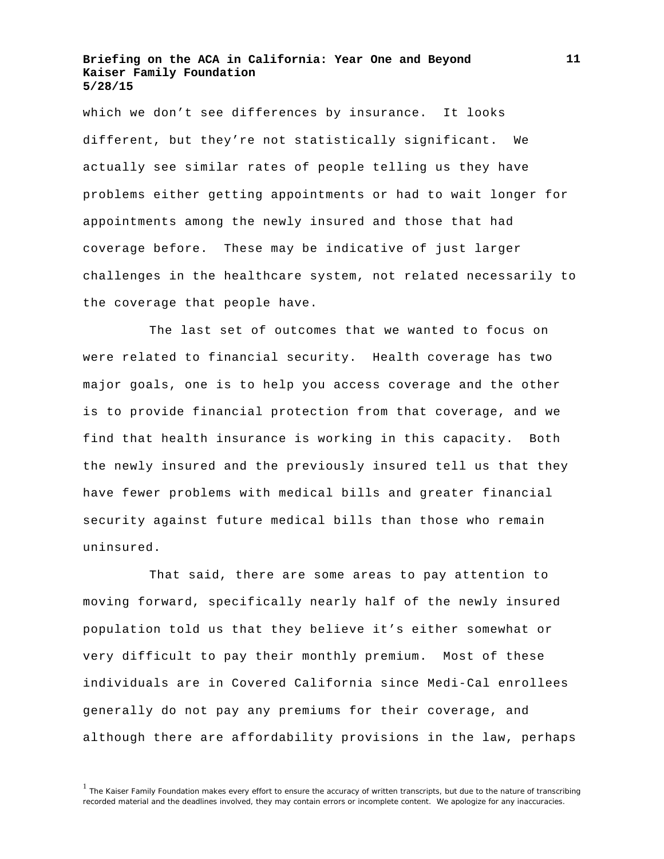which we don't see differences by insurance. It looks different, but they're not statistically significant. We actually see similar rates of people telling us they have problems either getting appointments or had to wait longer for appointments among the newly insured and those that had coverage before. These may be indicative of just larger challenges in the healthcare system, not related necessarily to the coverage that people have.

The last set of outcomes that we wanted to focus on were related to financial security. Health coverage has two major goals, one is to help you access coverage and the other is to provide financial protection from that coverage, and we find that health insurance is working in this capacity. Both the newly insured and the previously insured tell us that they have fewer problems with medical bills and greater financial security against future medical bills than those who remain uninsured.

That said, there are some areas to pay attention to moving forward, specifically nearly half of the newly insured population told us that they believe it's either somewhat or very difficult to pay their monthly premium. Most of these individuals are in Covered California since Medi-Cal enrollees generally do not pay any premiums for their coverage, and although there are affordability provisions in the law, perhaps

<sup>&</sup>lt;sup>1</sup> The Kaiser Family Foundation makes every effort to ensure the accuracy of written transcripts, but due to the nature of transcribing recorded material and the deadlines involved, they may contain errors or incomplete content. We apologize for any inaccuracies.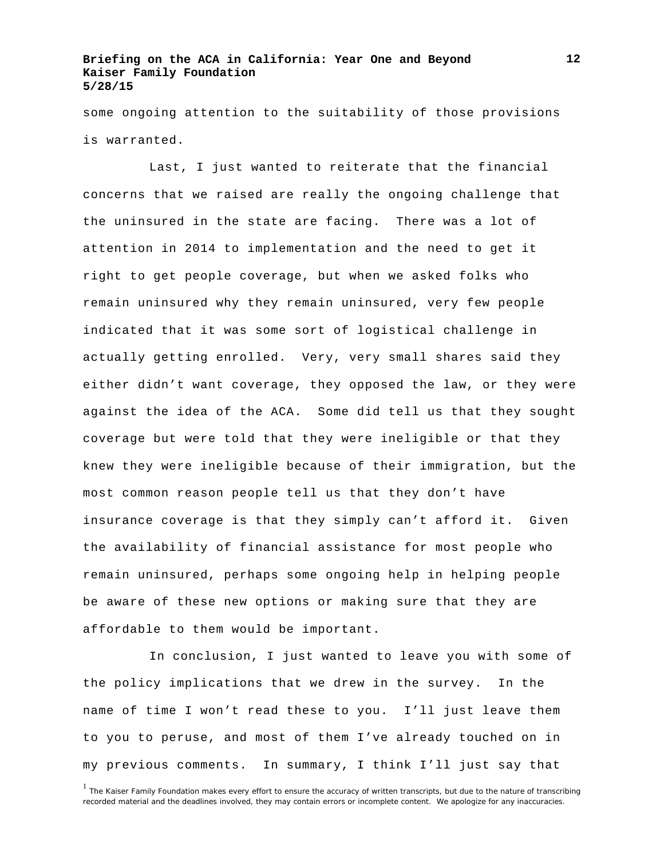some ongoing attention to the suitability of those provisions is warranted.

Last, I just wanted to reiterate that the financial concerns that we raised are really the ongoing challenge that the uninsured in the state are facing. There was a lot of attention in 2014 to implementation and the need to get it right to get people coverage, but when we asked folks who remain uninsured why they remain uninsured, very few people indicated that it was some sort of logistical challenge in actually getting enrolled. Very, very small shares said they either didn't want coverage, they opposed the law, or they were against the idea of the ACA. Some did tell us that they sought coverage but were told that they were ineligible or that they knew they were ineligible because of their immigration, but the most common reason people tell us that they don't have insurance coverage is that they simply can't afford it. Given the availability of financial assistance for most people who remain uninsured, perhaps some ongoing help in helping people be aware of these new options or making sure that they are affordable to them would be important.

In conclusion, I just wanted to leave you with some of the policy implications that we drew in the survey. In the name of time I won't read these to you. I'll just leave them to you to peruse, and most of them I've already touched on in my previous comments. In summary, I think I'll just say that

<sup>&</sup>lt;sup>1</sup> The Kaiser Family Foundation makes every effort to ensure the accuracy of written transcripts, but due to the nature of transcribing recorded material and the deadlines involved, they may contain errors or incomplete content. We apologize for any inaccuracies.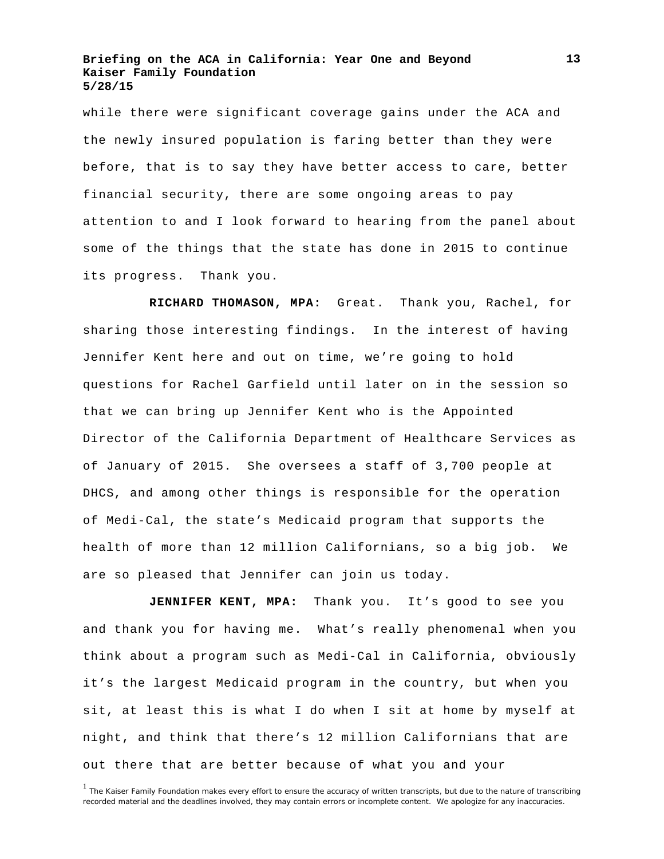while there were significant coverage gains under the ACA and the newly insured population is faring better than they were before, that is to say they have better access to care, better financial security, there are some ongoing areas to pay attention to and I look forward to hearing from the panel about some of the things that the state has done in 2015 to continue its progress. Thank you.

**RICHARD THOMASON, MPA:** Great. Thank you, Rachel, for sharing those interesting findings. In the interest of having Jennifer Kent here and out on time, we're going to hold questions for Rachel Garfield until later on in the session so that we can bring up Jennifer Kent who is the Appointed Director of the California Department of Healthcare Services as of January of 2015. She oversees a staff of 3,700 people at DHCS, and among other things is responsible for the operation of Medi-Cal, the state's Medicaid program that supports the health of more than 12 million Californians, so a big job. We are so pleased that Jennifer can join us today.

JENNIFER KENT, MPA: Thank you. It's good to see you and thank you for having me. What's really phenomenal when you think about a program such as Medi-Cal in California, obviously it's the largest Medicaid program in the country, but when you sit, at least this is what I do when I sit at home by myself at night, and think that there's 12 million Californians that are out there that are better because of what you and your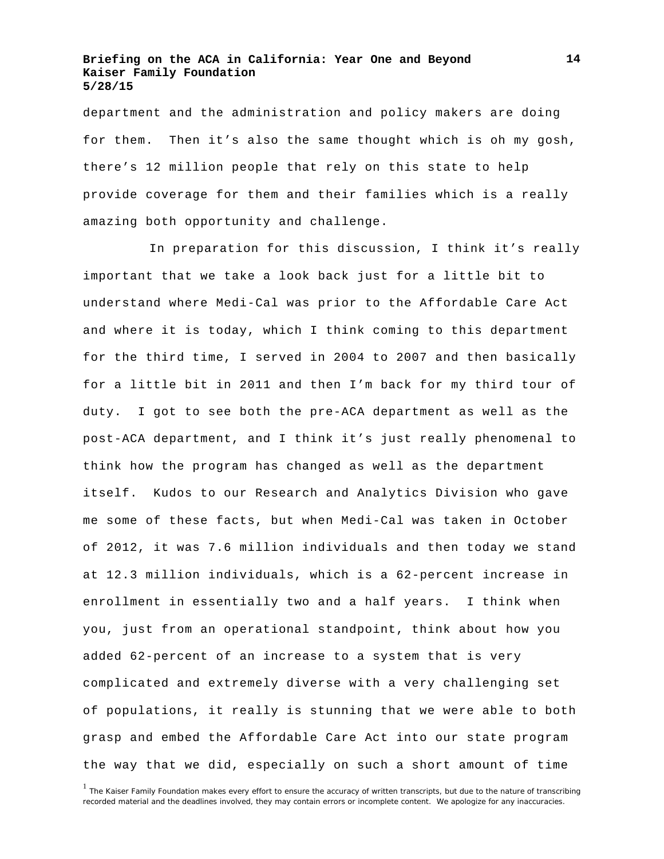department and the administration and policy makers are doing for them. Then it's also the same thought which is oh my gosh, there's 12 million people that rely on this state to help provide coverage for them and their families which is a really amazing both opportunity and challenge.

In preparation for this discussion, I think it's really important that we take a look back just for a little bit to understand where Medi-Cal was prior to the Affordable Care Act and where it is today, which I think coming to this department for the third time, I served in 2004 to 2007 and then basically for a little bit in 2011 and then I'm back for my third tour of duty. I got to see both the pre-ACA department as well as the post-ACA department, and I think it's just really phenomenal to think how the program has changed as well as the department itself. Kudos to our Research and Analytics Division who gave me some of these facts, but when Medi-Cal was taken in October of 2012, it was 7.6 million individuals and then today we stand at 12.3 million individuals, which is a 62-percent increase in enrollment in essentially two and a half years. I think when you, just from an operational standpoint, think about how you added 62-percent of an increase to a system that is very complicated and extremely diverse with a very challenging set of populations, it really is stunning that we were able to both grasp and embed the Affordable Care Act into our state program the way that we did, especially on such a short amount of time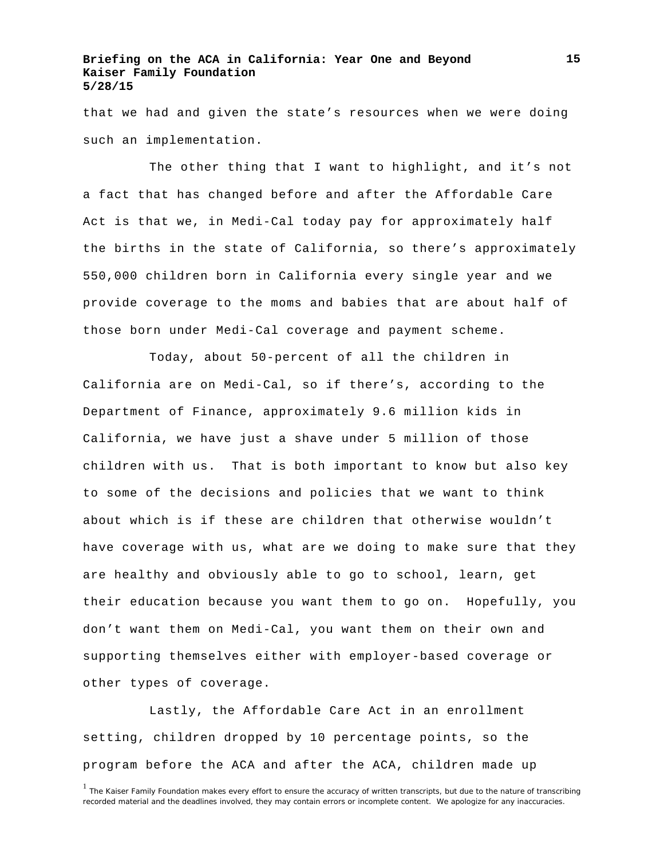that we had and given the state's resources when we were doing such an implementation.

The other thing that I want to highlight, and it's not a fact that has changed before and after the Affordable Care Act is that we, in Medi-Cal today pay for approximately half the births in the state of California, so there's approximately 550,000 children born in California every single year and we provide coverage to the moms and babies that are about half of those born under Medi-Cal coverage and payment scheme.

Today, about 50-percent of all the children in California are on Medi-Cal, so if there's, according to the Department of Finance, approximately 9.6 million kids in California, we have just a shave under 5 million of those children with us. That is both important to know but also key to some of the decisions and policies that we want to think about which is if these are children that otherwise wouldn't have coverage with us, what are we doing to make sure that they are healthy and obviously able to go to school, learn, get their education because you want them to go on. Hopefully, you don't want them on Medi-Cal, you want them on their own and supporting themselves either with employer-based coverage or other types of coverage.

Lastly, the Affordable Care Act in an enrollment setting, children dropped by 10 percentage points, so the program before the ACA and after the ACA, children made up

<sup>&</sup>lt;sup>1</sup> The Kaiser Family Foundation makes every effort to ensure the accuracy of written transcripts, but due to the nature of transcribing recorded material and the deadlines involved, they may contain errors or incomplete content. We apologize for any inaccuracies.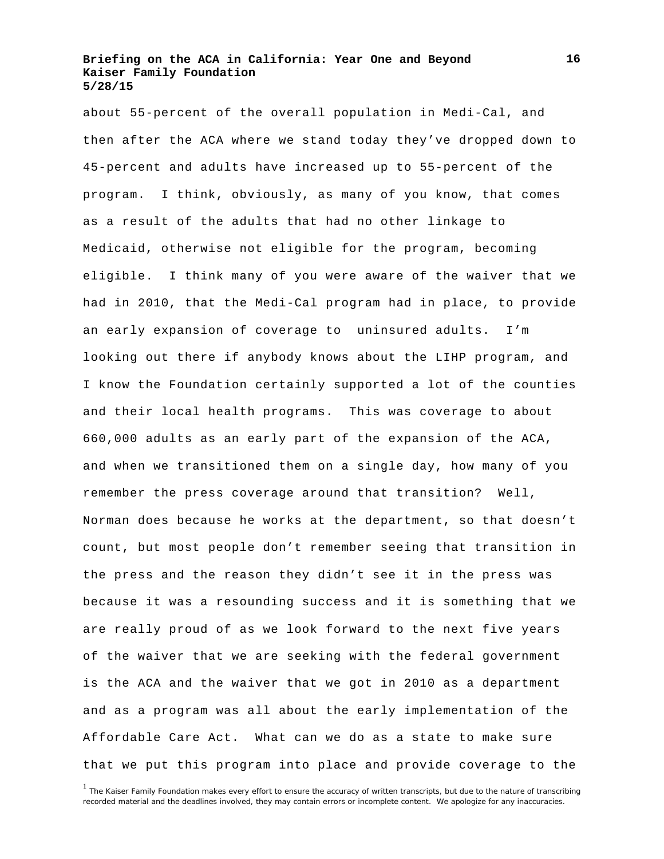about 55-percent of the overall population in Medi-Cal, and then after the ACA where we stand today they've dropped down to 45-percent and adults have increased up to 55-percent of the program. I think, obviously, as many of you know, that comes as a result of the adults that had no other linkage to Medicaid, otherwise not eligible for the program, becoming eligible. I think many of you were aware of the waiver that we had in 2010, that the Medi-Cal program had in place, to provide an early expansion of coverage to uninsured adults. I'm looking out there if anybody knows about the LIHP program, and I know the Foundation certainly supported a lot of the counties and their local health programs. This was coverage to about 660,000 adults as an early part of the expansion of the ACA, and when we transitioned them on a single day, how many of you remember the press coverage around that transition? Well, Norman does because he works at the department, so that doesn't count, but most people don't remember seeing that transition in the press and the reason they didn't see it in the press was because it was a resounding success and it is something that we are really proud of as we look forward to the next five years of the waiver that we are seeking with the federal government is the ACA and the waiver that we got in 2010 as a department and as a program was all about the early implementation of the Affordable Care Act. What can we do as a state to make sure that we put this program into place and provide coverage to the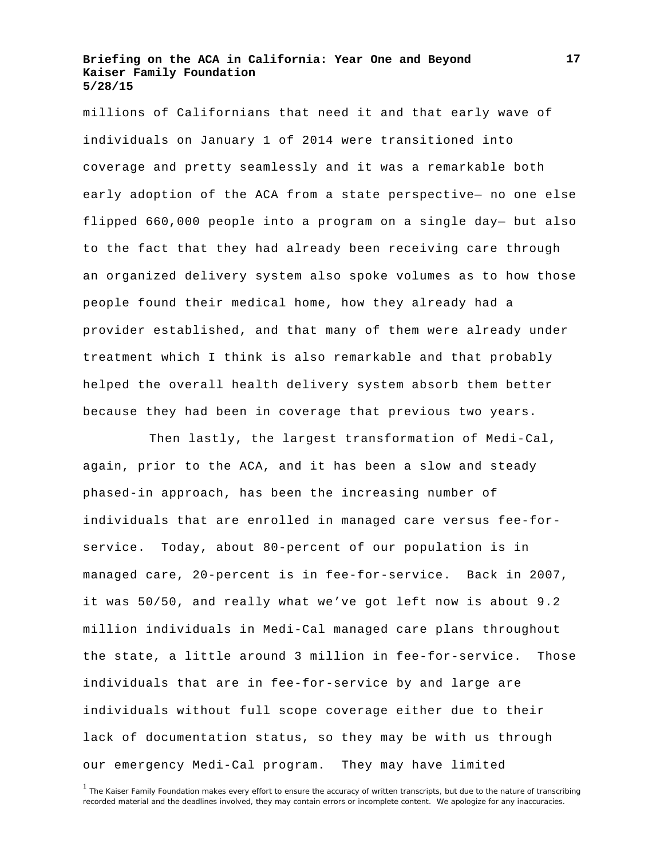millions of Californians that need it and that early wave of individuals on January 1 of 2014 were transitioned into coverage and pretty seamlessly and it was a remarkable both early adoption of the ACA from a state perspective— no one else flipped 660,000 people into a program on a single day— but also to the fact that they had already been receiving care through an organized delivery system also spoke volumes as to how those people found their medical home, how they already had a provider established, and that many of them were already under treatment which I think is also remarkable and that probably helped the overall health delivery system absorb them better because they had been in coverage that previous two years.

Then lastly, the largest transformation of Medi-Cal, again, prior to the ACA, and it has been a slow and steady phased-in approach, has been the increasing number of individuals that are enrolled in managed care versus fee-forservice. Today, about 80-percent of our population is in managed care, 20-percent is in fee-for-service. Back in 2007, it was 50/50, and really what we've got left now is about 9.2 million individuals in Medi-Cal managed care plans throughout the state, a little around 3 million in fee-for-service. Those individuals that are in fee-for-service by and large are individuals without full scope coverage either due to their lack of documentation status, so they may be with us through our emergency Medi-Cal program. They may have limited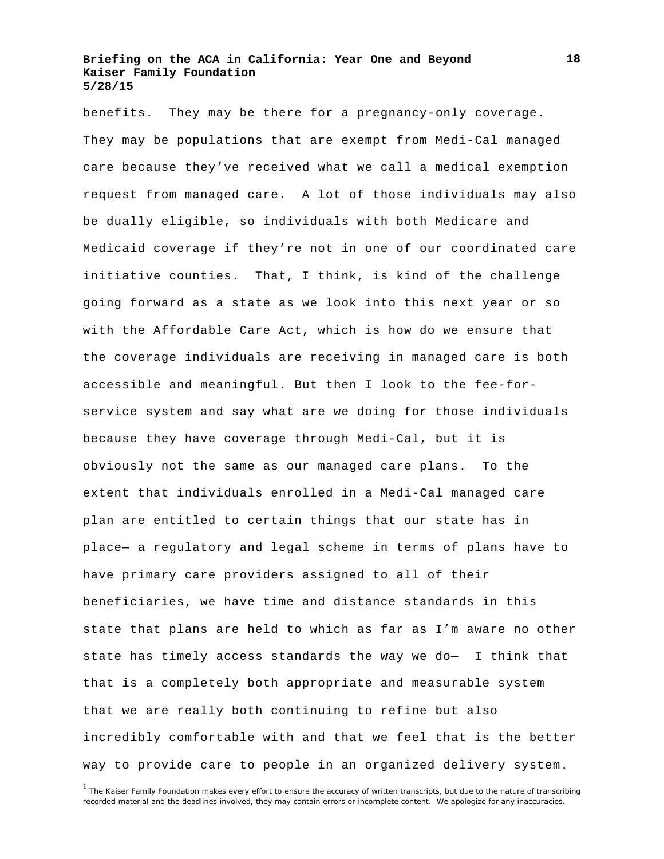benefits. They may be there for a pregnancy-only coverage. They may be populations that are exempt from Medi-Cal managed care because they've received what we call a medical exemption request from managed care. A lot of those individuals may also be dually eligible, so individuals with both Medicare and Medicaid coverage if they're not in one of our coordinated care initiative counties. That, I think, is kind of the challenge going forward as a state as we look into this next year or so with the Affordable Care Act, which is how do we ensure that the coverage individuals are receiving in managed care is both accessible and meaningful. But then I look to the fee-forservice system and say what are we doing for those individuals because they have coverage through Medi-Cal, but it is obviously not the same as our managed care plans. To the extent that individuals enrolled in a Medi-Cal managed care plan are entitled to certain things that our state has in place— a regulatory and legal scheme in terms of plans have to have primary care providers assigned to all of their beneficiaries, we have time and distance standards in this state that plans are held to which as far as I'm aware no other state has timely access standards the way we do— I think that that is a completely both appropriate and measurable system that we are really both continuing to refine but also incredibly comfortable with and that we feel that is the better way to provide care to people in an organized delivery system.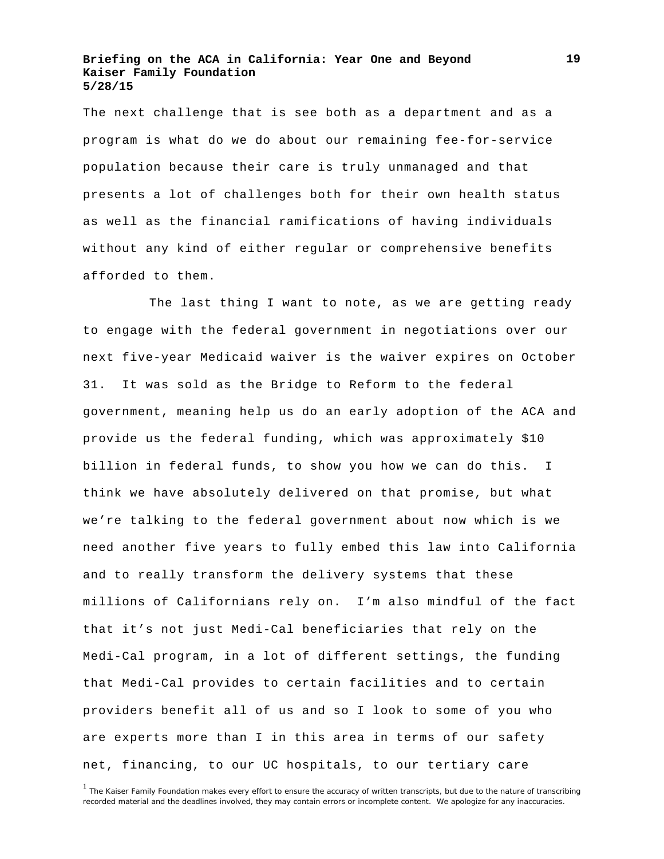The next challenge that is see both as a department and as a program is what do we do about our remaining fee-for-service population because their care is truly unmanaged and that presents a lot of challenges both for their own health status as well as the financial ramifications of having individuals without any kind of either regular or comprehensive benefits afforded to them.

The last thing I want to note, as we are getting ready to engage with the federal government in negotiations over our next five-year Medicaid waiver is the waiver expires on October 31. It was sold as the Bridge to Reform to the federal government, meaning help us do an early adoption of the ACA and provide us the federal funding, which was approximately \$10 billion in federal funds, to show you how we can do this. I think we have absolutely delivered on that promise, but what we're talking to the federal government about now which is we need another five years to fully embed this law into California and to really transform the delivery systems that these millions of Californians rely on. I'm also mindful of the fact that it's not just Medi-Cal beneficiaries that rely on the Medi-Cal program, in a lot of different settings, the funding that Medi-Cal provides to certain facilities and to certain providers benefit all of us and so I look to some of you who are experts more than I in this area in terms of our safety net, financing, to our UC hospitals, to our tertiary care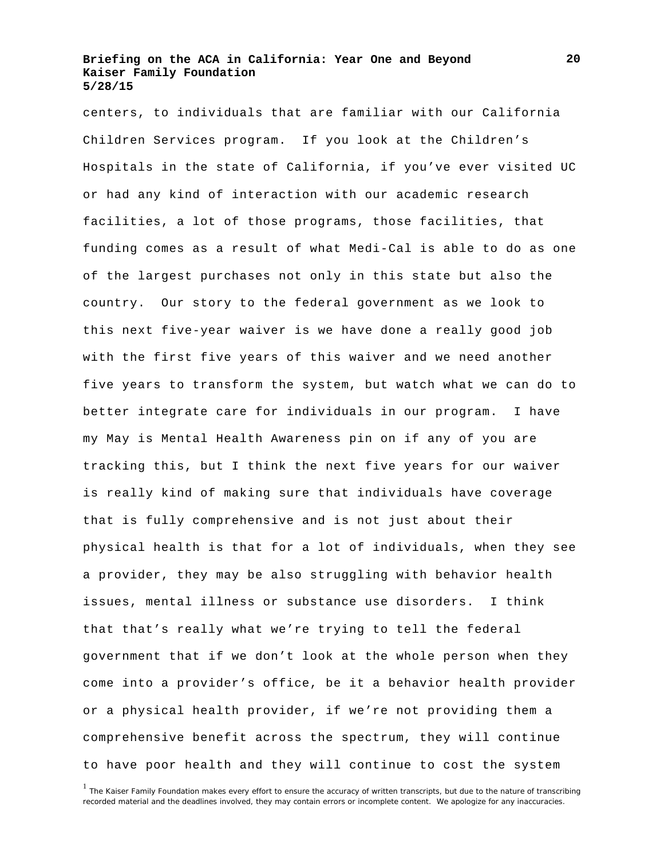centers, to individuals that are familiar with our California Children Services program. If you look at the Children's Hospitals in the state of California, if you've ever visited UC or had any kind of interaction with our academic research facilities, a lot of those programs, those facilities, that funding comes as a result of what Medi-Cal is able to do as one of the largest purchases not only in this state but also the country. Our story to the federal government as we look to this next five-year waiver is we have done a really good job with the first five years of this waiver and we need another five years to transform the system, but watch what we can do to better integrate care for individuals in our program. I have my May is Mental Health Awareness pin on if any of you are tracking this, but I think the next five years for our waiver is really kind of making sure that individuals have coverage that is fully comprehensive and is not just about their physical health is that for a lot of individuals, when they see a provider, they may be also struggling with behavior health issues, mental illness or substance use disorders. I think that that's really what we're trying to tell the federal government that if we don't look at the whole person when they come into a provider's office, be it a behavior health provider or a physical health provider, if we're not providing them a comprehensive benefit across the spectrum, they will continue to have poor health and they will continue to cost the system

<sup>&</sup>lt;sup>1</sup> The Kaiser Family Foundation makes every effort to ensure the accuracy of written transcripts, but due to the nature of transcribing recorded material and the deadlines involved, they may contain errors or incomplete content. We apologize for any inaccuracies.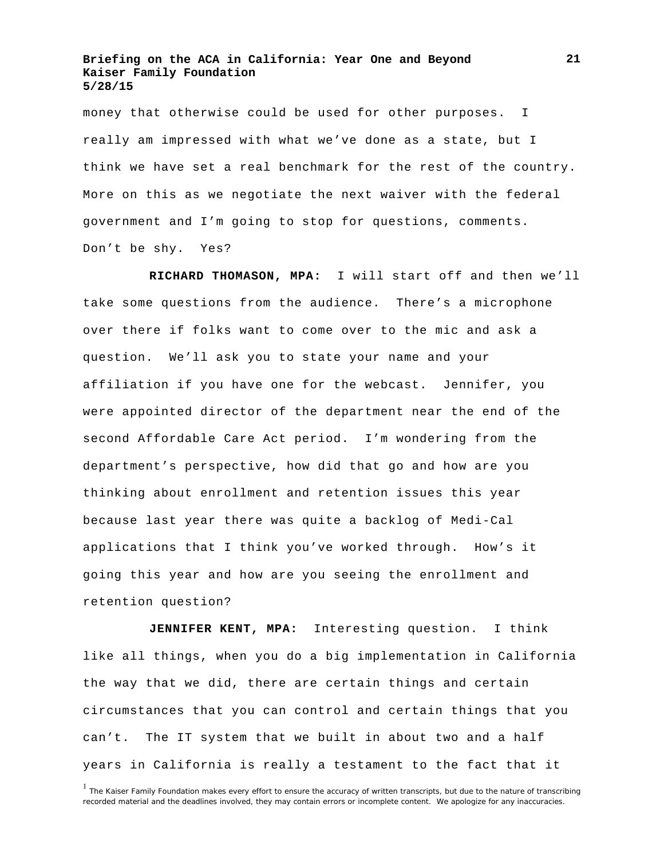money that otherwise could be used for other purposes. I really am impressed with what we've done as a state, but I think we have set a real benchmark for the rest of the country. More on this as we negotiate the next waiver with the federal government and I'm going to stop for questions, comments. Don't be shy. Yes?

**RICHARD THOMASON, MPA:** I will start off and then we'll take some questions from the audience. There's a microphone over there if folks want to come over to the mic and ask a question. We'll ask you to state your name and your affiliation if you have one for the webcast. Jennifer, you were appointed director of the department near the end of the second Affordable Care Act period. I'm wondering from the department's perspective, how did that go and how are you thinking about enrollment and retention issues this year because last year there was quite a backlog of Medi-Cal applications that I think you've worked through. How's it going this year and how are you seeing the enrollment and retention question?

**JENNIFER KENT, MPA:** Interesting question. I think like all things, when you do a big implementation in California the way that we did, there are certain things and certain circumstances that you can control and certain things that you can't. The IT system that we built in about two and a half years in California is really a testament to the fact that it

<sup>&</sup>lt;sup>1</sup> The Kaiser Family Foundation makes every effort to ensure the accuracy of written transcripts, but due to the nature of transcribing recorded material and the deadlines involved, they may contain errors or incomplete content. We apologize for any inaccuracies.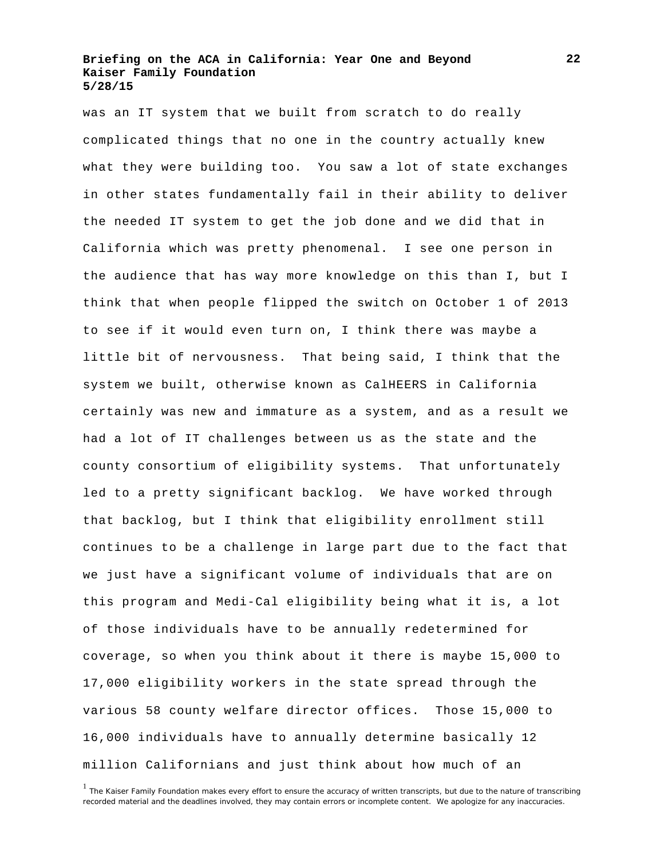was an IT system that we built from scratch to do really complicated things that no one in the country actually knew what they were building too. You saw a lot of state exchanges in other states fundamentally fail in their ability to deliver the needed IT system to get the job done and we did that in California which was pretty phenomenal. I see one person in the audience that has way more knowledge on this than I, but I think that when people flipped the switch on October 1 of 2013 to see if it would even turn on, I think there was maybe a little bit of nervousness. That being said, I think that the system we built, otherwise known as CalHEERS in California certainly was new and immature as a system, and as a result we had a lot of IT challenges between us as the state and the county consortium of eligibility systems. That unfortunately led to a pretty significant backlog. We have worked through that backlog, but I think that eligibility enrollment still continues to be a challenge in large part due to the fact that we just have a significant volume of individuals that are on this program and Medi-Cal eligibility being what it is, a lot of those individuals have to be annually redetermined for coverage, so when you think about it there is maybe 15,000 to 17,000 eligibility workers in the state spread through the various 58 county welfare director offices. Those 15,000 to 16,000 individuals have to annually determine basically 12 million Californians and just think about how much of an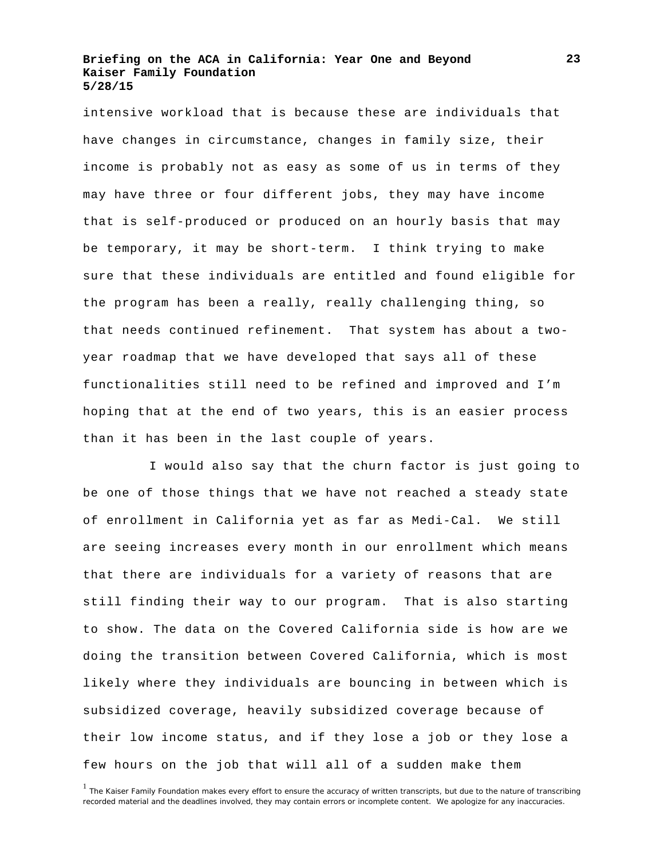intensive workload that is because these are individuals that have changes in circumstance, changes in family size, their income is probably not as easy as some of us in terms of they may have three or four different jobs, they may have income that is self-produced or produced on an hourly basis that may be temporary, it may be short-term. I think trying to make sure that these individuals are entitled and found eligible for the program has been a really, really challenging thing, so that needs continued refinement. That system has about a twoyear roadmap that we have developed that says all of these functionalities still need to be refined and improved and I'm hoping that at the end of two years, this is an easier process than it has been in the last couple of years.

I would also say that the churn factor is just going to be one of those things that we have not reached a steady state of enrollment in California yet as far as Medi-Cal. We still are seeing increases every month in our enrollment which means that there are individuals for a variety of reasons that are still finding their way to our program. That is also starting to show. The data on the Covered California side is how are we doing the transition between Covered California, which is most likely where they individuals are bouncing in between which is subsidized coverage, heavily subsidized coverage because of their low income status, and if they lose a job or they lose a few hours on the job that will all of a sudden make them

<sup>&</sup>lt;sup>1</sup> The Kaiser Family Foundation makes every effort to ensure the accuracy of written transcripts, but due to the nature of transcribing recorded material and the deadlines involved, they may contain errors or incomplete content. We apologize for any inaccuracies.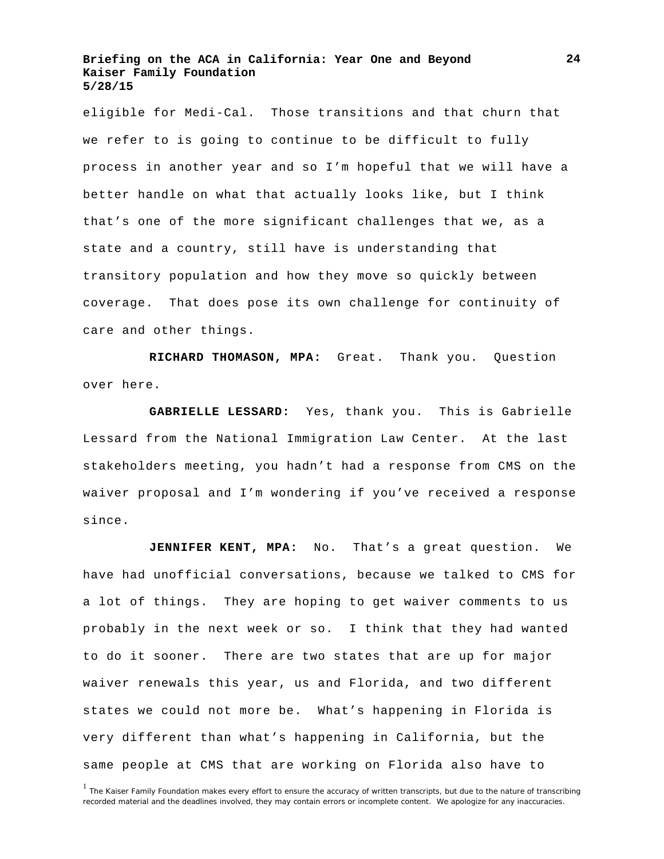eligible for Medi-Cal. Those transitions and that churn that we refer to is going to continue to be difficult to fully process in another year and so I'm hopeful that we will have a better handle on what that actually looks like, but I think that's one of the more significant challenges that we, as a state and a country, still have is understanding that transitory population and how they move so quickly between coverage. That does pose its own challenge for continuity of care and other things.

**RICHARD THOMASON, MPA:** Great. Thank you. Question over here.

**GABRIELLE LESSARD:** Yes, thank you. This is Gabrielle Lessard from the National Immigration Law Center. At the last stakeholders meeting, you hadn't had a response from CMS on the waiver proposal and I'm wondering if you've received a response since.

**JENNIFER KENT, MPA:** No. That's a great question. We have had unofficial conversations, because we talked to CMS for a lot of things. They are hoping to get waiver comments to us probably in the next week or so. I think that they had wanted to do it sooner. There are two states that are up for major waiver renewals this year, us and Florida, and two different states we could not more be. What's happening in Florida is very different than what's happening in California, but the same people at CMS that are working on Florida also have to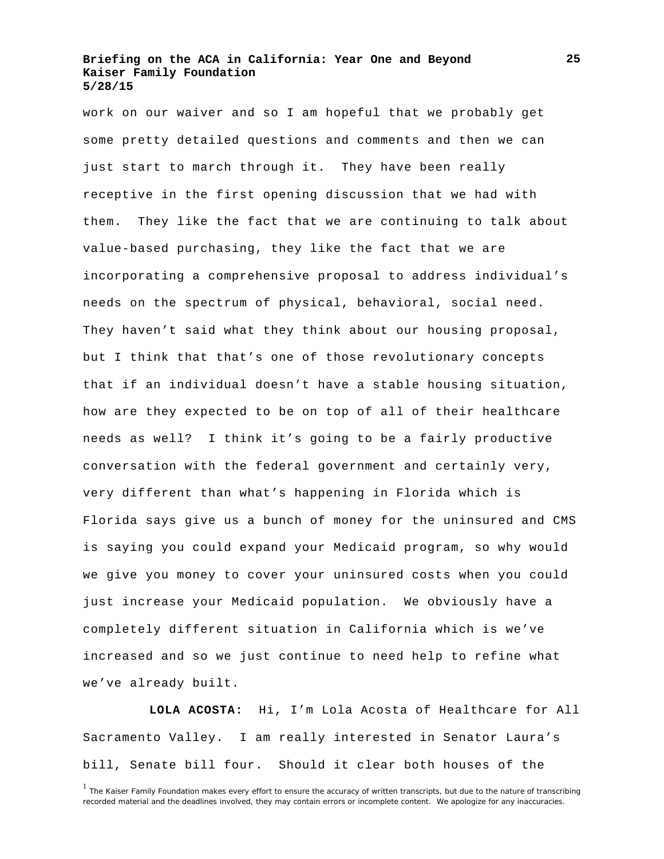work on our waiver and so I am hopeful that we probably get some pretty detailed questions and comments and then we can just start to march through it. They have been really receptive in the first opening discussion that we had with them. They like the fact that we are continuing to talk about value-based purchasing, they like the fact that we are incorporating a comprehensive proposal to address individual's needs on the spectrum of physical, behavioral, social need. They haven't said what they think about our housing proposal, but I think that that's one of those revolutionary concepts that if an individual doesn't have a stable housing situation, how are they expected to be on top of all of their healthcare needs as well? I think it's going to be a fairly productive conversation with the federal government and certainly very, very different than what's happening in Florida which is Florida says give us a bunch of money for the uninsured and CMS is saying you could expand your Medicaid program, so why would we give you money to cover your uninsured costs when you could just increase your Medicaid population. We obviously have a completely different situation in California which is we've increased and so we just continue to need help to refine what we've already built.

**LOLA ACOSTA:** Hi, I'm Lola Acosta of Healthcare for All Sacramento Valley. I am really interested in Senator Laura's bill, Senate bill four. Should it clear both houses of the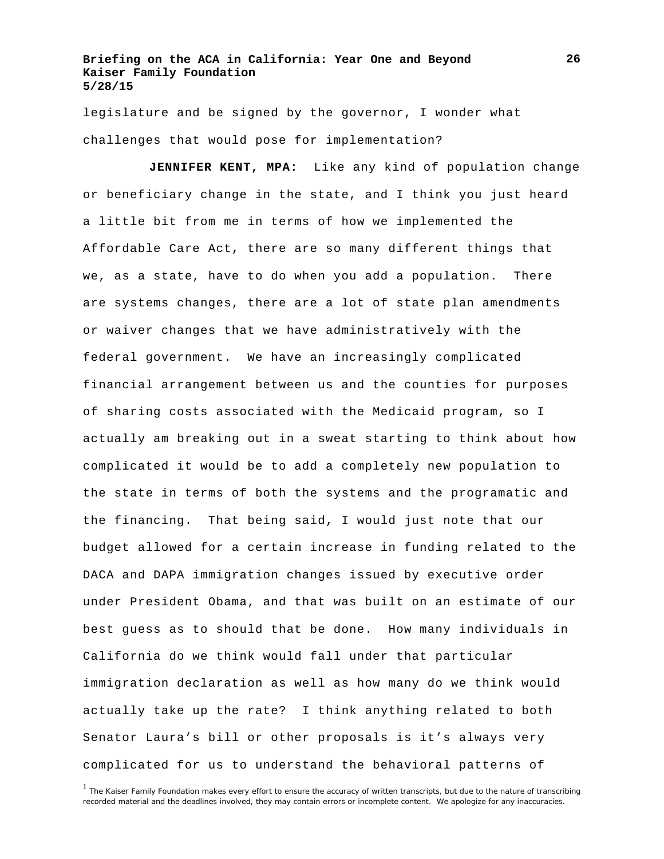legislature and be signed by the governor, I wonder what challenges that would pose for implementation?

**JENNIFER KENT, MPA:** Like any kind of population change or beneficiary change in the state, and I think you just heard a little bit from me in terms of how we implemented the Affordable Care Act, there are so many different things that we, as a state, have to do when you add a population. There are systems changes, there are a lot of state plan amendments or waiver changes that we have administratively with the federal government. We have an increasingly complicated financial arrangement between us and the counties for purposes of sharing costs associated with the Medicaid program, so I actually am breaking out in a sweat starting to think about how complicated it would be to add a completely new population to the state in terms of both the systems and the programatic and the financing. That being said, I would just note that our budget allowed for a certain increase in funding related to the DACA and DAPA immigration changes issued by executive order under President Obama, and that was built on an estimate of our best guess as to should that be done. How many individuals in California do we think would fall under that particular immigration declaration as well as how many do we think would actually take up the rate? I think anything related to both Senator Laura's bill or other proposals is it's always very complicated for us to understand the behavioral patterns of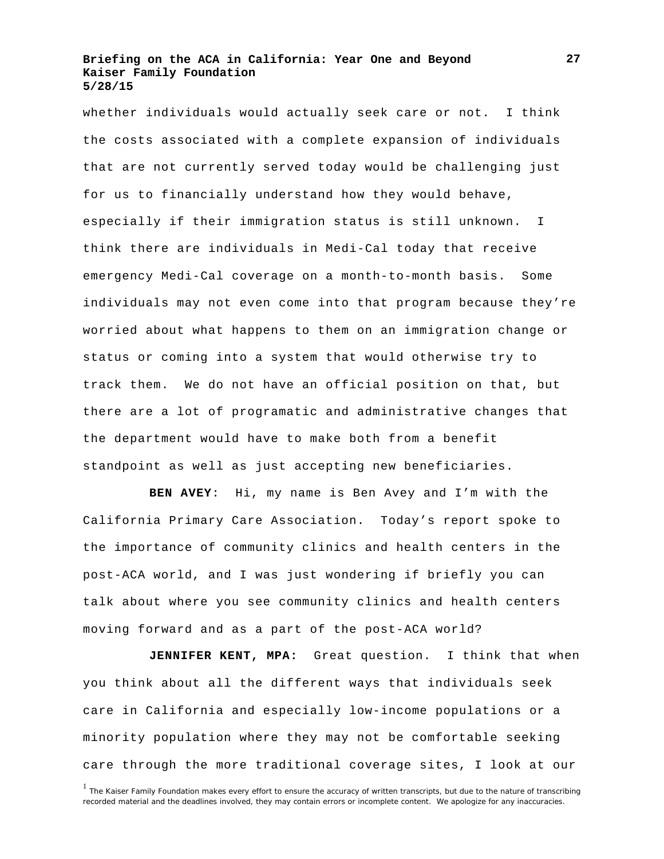whether individuals would actually seek care or not. I think the costs associated with a complete expansion of individuals that are not currently served today would be challenging just for us to financially understand how they would behave, especially if their immigration status is still unknown. I think there are individuals in Medi-Cal today that receive emergency Medi-Cal coverage on a month-to-month basis. Some individuals may not even come into that program because they're worried about what happens to them on an immigration change or status or coming into a system that would otherwise try to track them. We do not have an official position on that, but there are a lot of programatic and administrative changes that the department would have to make both from a benefit standpoint as well as just accepting new beneficiaries.

**BEN AVEY**: Hi, my name is Ben Avey and I'm with the California Primary Care Association. Today's report spoke to the importance of community clinics and health centers in the post-ACA world, and I was just wondering if briefly you can talk about where you see community clinics and health centers moving forward and as a part of the post-ACA world?

**JENNIFER KENT, MPA:** Great question. I think that when you think about all the different ways that individuals seek care in California and especially low-income populations or a minority population where they may not be comfortable seeking care through the more traditional coverage sites, I look at our

<sup>&</sup>lt;sup>1</sup> The Kaiser Family Foundation makes every effort to ensure the accuracy of written transcripts, but due to the nature of transcribing recorded material and the deadlines involved, they may contain errors or incomplete content. We apologize for any inaccuracies.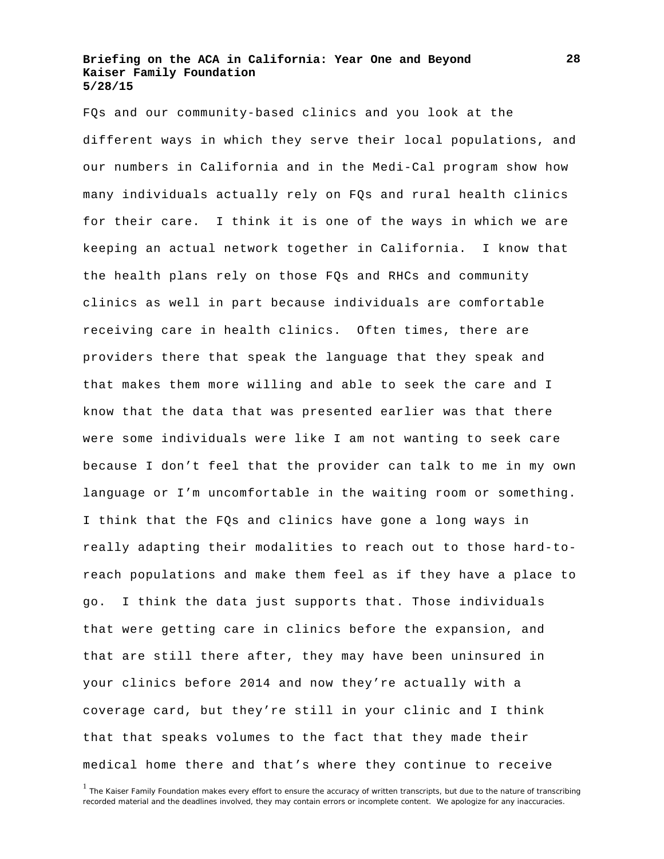FQs and our community-based clinics and you look at the different ways in which they serve their local populations, and our numbers in California and in the Medi-Cal program show how many individuals actually rely on FQs and rural health clinics for their care. I think it is one of the ways in which we are keeping an actual network together in California. I know that the health plans rely on those FQs and RHCs and community clinics as well in part because individuals are comfortable receiving care in health clinics. Often times, there are providers there that speak the language that they speak and that makes them more willing and able to seek the care and I know that the data that was presented earlier was that there were some individuals were like I am not wanting to seek care because I don't feel that the provider can talk to me in my own language or I'm uncomfortable in the waiting room or something. I think that the FQs and clinics have gone a long ways in really adapting their modalities to reach out to those hard-toreach populations and make them feel as if they have a place to go. I think the data just supports that. Those individuals that were getting care in clinics before the expansion, and that are still there after, they may have been uninsured in your clinics before 2014 and now they're actually with a coverage card, but they're still in your clinic and I think that that speaks volumes to the fact that they made their medical home there and that's where they continue to receive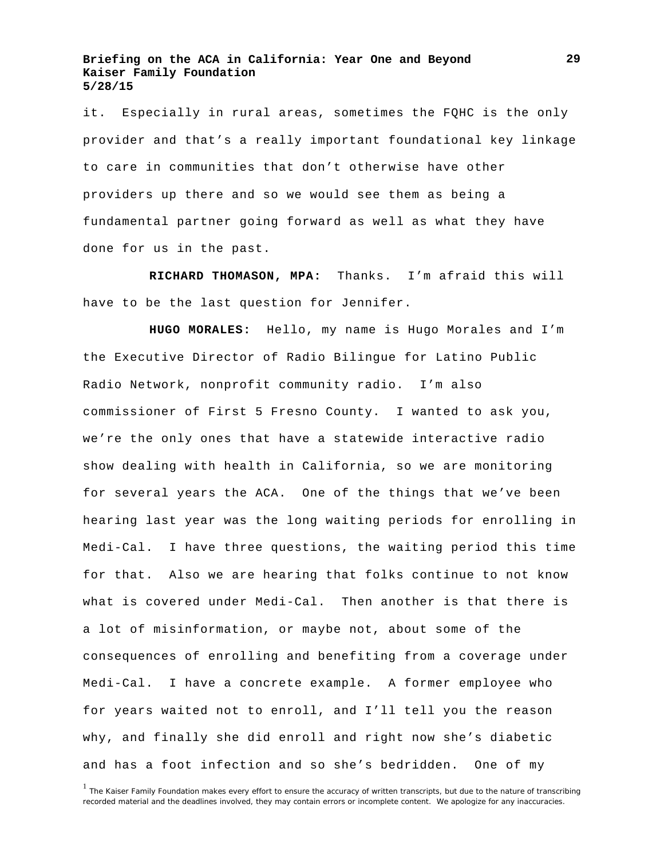it. Especially in rural areas, sometimes the FQHC is the only provider and that's a really important foundational key linkage to care in communities that don't otherwise have other providers up there and so we would see them as being a fundamental partner going forward as well as what they have done for us in the past.

**RICHARD THOMASON, MPA:** Thanks. I'm afraid this will have to be the last question for Jennifer.

**HUGO MORALES:** Hello, my name is Hugo Morales and I'm the Executive Director of Radio Bilingue for Latino Public Radio Network, nonprofit community radio. I'm also commissioner of First 5 Fresno County. I wanted to ask you, we're the only ones that have a statewide interactive radio show dealing with health in California, so we are monitoring for several years the ACA. One of the things that we've been hearing last year was the long waiting periods for enrolling in Medi-Cal. I have three questions, the waiting period this time for that. Also we are hearing that folks continue to not know what is covered under Medi-Cal. Then another is that there is a lot of misinformation, or maybe not, about some of the consequences of enrolling and benefiting from a coverage under Medi-Cal. I have a concrete example. A former employee who for years waited not to enroll, and I'll tell you the reason why, and finally she did enroll and right now she's diabetic and has a foot infection and so she's bedridden. One of my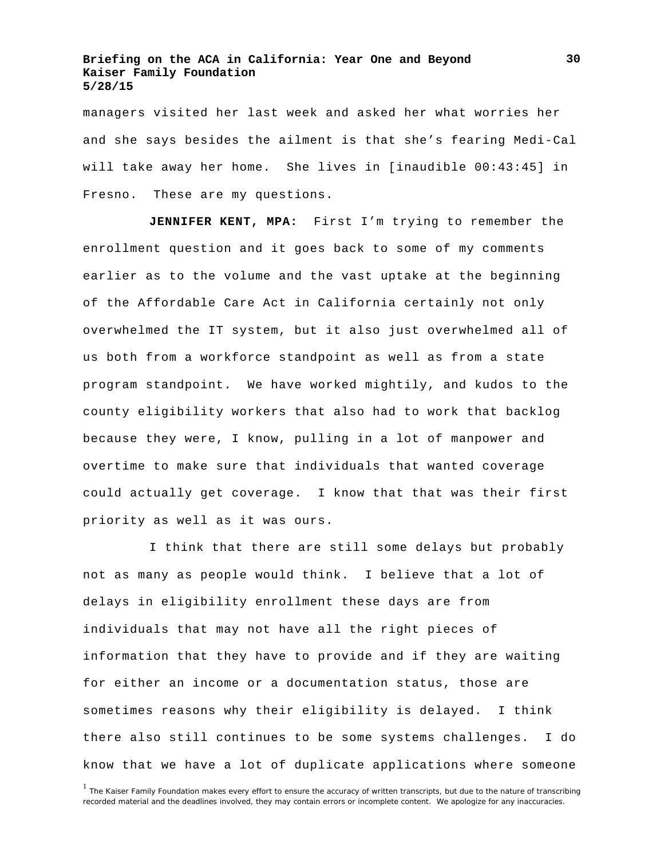managers visited her last week and asked her what worries her and she says besides the ailment is that she's fearing Medi-Cal will take away her home. She lives in [inaudible 00:43:45] in Fresno. These are my questions.

**JENNIFER KENT, MPA:** First I'm trying to remember the enrollment question and it goes back to some of my comments earlier as to the volume and the vast uptake at the beginning of the Affordable Care Act in California certainly not only overwhelmed the IT system, but it also just overwhelmed all of us both from a workforce standpoint as well as from a state program standpoint. We have worked mightily, and kudos to the county eligibility workers that also had to work that backlog because they were, I know, pulling in a lot of manpower and overtime to make sure that individuals that wanted coverage could actually get coverage. I know that that was their first priority as well as it was ours.

I think that there are still some delays but probably not as many as people would think. I believe that a lot of delays in eligibility enrollment these days are from individuals that may not have all the right pieces of information that they have to provide and if they are waiting for either an income or a documentation status, those are sometimes reasons why their eligibility is delayed. I think there also still continues to be some systems challenges. I do know that we have a lot of duplicate applications where someone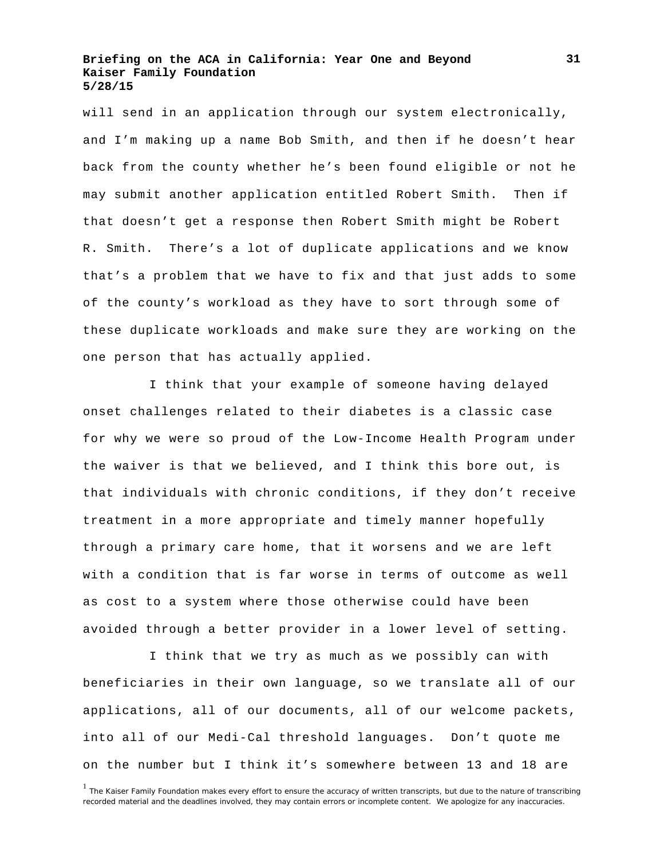will send in an application through our system electronically, and I'm making up a name Bob Smith, and then if he doesn't hear back from the county whether he's been found eligible or not he may submit another application entitled Robert Smith. Then if that doesn't get a response then Robert Smith might be Robert R. Smith. There's a lot of duplicate applications and we know that's a problem that we have to fix and that just adds to some of the county's workload as they have to sort through some of these duplicate workloads and make sure they are working on the one person that has actually applied.

I think that your example of someone having delayed onset challenges related to their diabetes is a classic case for why we were so proud of the Low-Income Health Program under the waiver is that we believed, and I think this bore out, is that individuals with chronic conditions, if they don't receive treatment in a more appropriate and timely manner hopefully through a primary care home, that it worsens and we are left with a condition that is far worse in terms of outcome as well as cost to a system where those otherwise could have been avoided through a better provider in a lower level of setting.

I think that we try as much as we possibly can with beneficiaries in their own language, so we translate all of our applications, all of our documents, all of our welcome packets, into all of our Medi-Cal threshold languages. Don't quote me on the number but I think it's somewhere between 13 and 18 are

<sup>&</sup>lt;sup>1</sup> The Kaiser Family Foundation makes every effort to ensure the accuracy of written transcripts, but due to the nature of transcribing recorded material and the deadlines involved, they may contain errors or incomplete content. We apologize for any inaccuracies.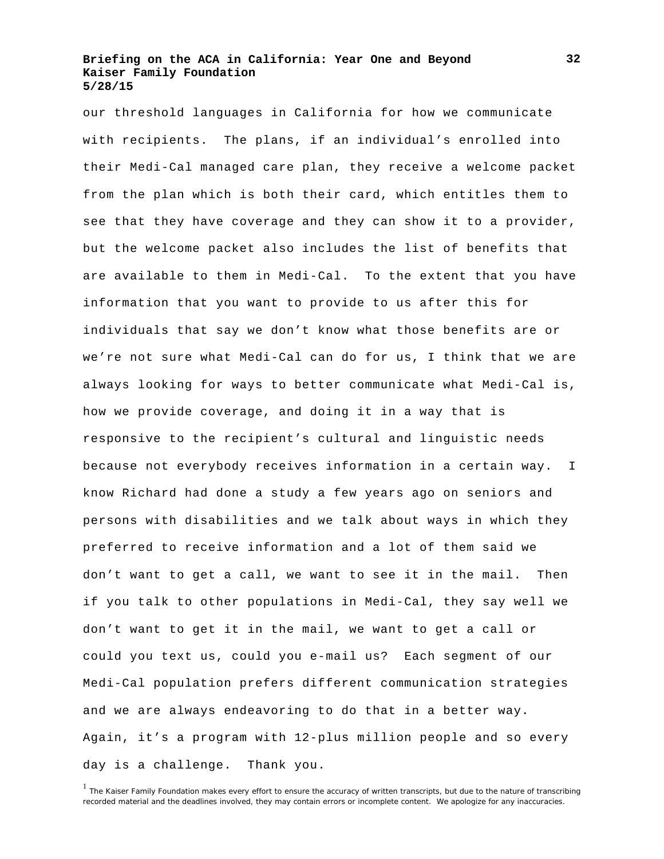our threshold languages in California for how we communicate with recipients. The plans, if an individual's enrolled into their Medi-Cal managed care plan, they receive a welcome packet from the plan which is both their card, which entitles them to see that they have coverage and they can show it to a provider, but the welcome packet also includes the list of benefits that are available to them in Medi-Cal. To the extent that you have information that you want to provide to us after this for individuals that say we don't know what those benefits are or we're not sure what Medi-Cal can do for us, I think that we are always looking for ways to better communicate what Medi-Cal is, how we provide coverage, and doing it in a way that is responsive to the recipient's cultural and linguistic needs because not everybody receives information in a certain way. I know Richard had done a study a few years ago on seniors and persons with disabilities and we talk about ways in which they preferred to receive information and a lot of them said we don't want to get a call, we want to see it in the mail. Then if you talk to other populations in Medi-Cal, they say well we don't want to get it in the mail, we want to get a call or could you text us, could you e-mail us? Each segment of our Medi-Cal population prefers different communication strategies and we are always endeavoring to do that in a better way. Again, it's a program with 12-plus million people and so every day is a challenge. Thank you.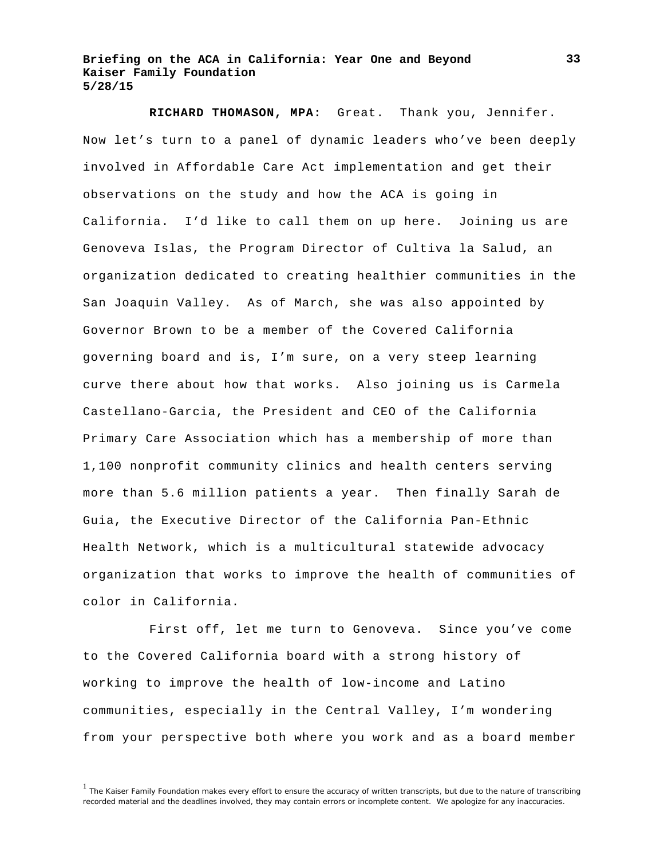**RICHARD THOMASON, MPA:** Great. Thank you, Jennifer. Now let's turn to a panel of dynamic leaders who've been deeply involved in Affordable Care Act implementation and get their observations on the study and how the ACA is going in California. I'd like to call them on up here. Joining us are Genoveva Islas, the Program Director of Cultiva la Salud, an organization dedicated to creating healthier communities in the San Joaquin Valley. As of March, she was also appointed by Governor Brown to be a member of the Covered California governing board and is, I'm sure, on a very steep learning curve there about how that works. Also joining us is Carmela Castellano-Garcia, the President and CEO of the California Primary Care Association which has a membership of more than 1,100 nonprofit community clinics and health centers serving more than 5.6 million patients a year. Then finally Sarah de Guia, the Executive Director of the California Pan-Ethnic Health Network, which is a multicultural statewide advocacy organization that works to improve the health of communities of color in California.

First off, let me turn to Genoveva. Since you've come to the Covered California board with a strong history of working to improve the health of low-income and Latino communities, especially in the Central Valley, I'm wondering from your perspective both where you work and as a board member

<sup>&</sup>lt;sup>1</sup> The Kaiser Family Foundation makes every effort to ensure the accuracy of written transcripts, but due to the nature of transcribing recorded material and the deadlines involved, they may contain errors or incomplete content. We apologize for any inaccuracies.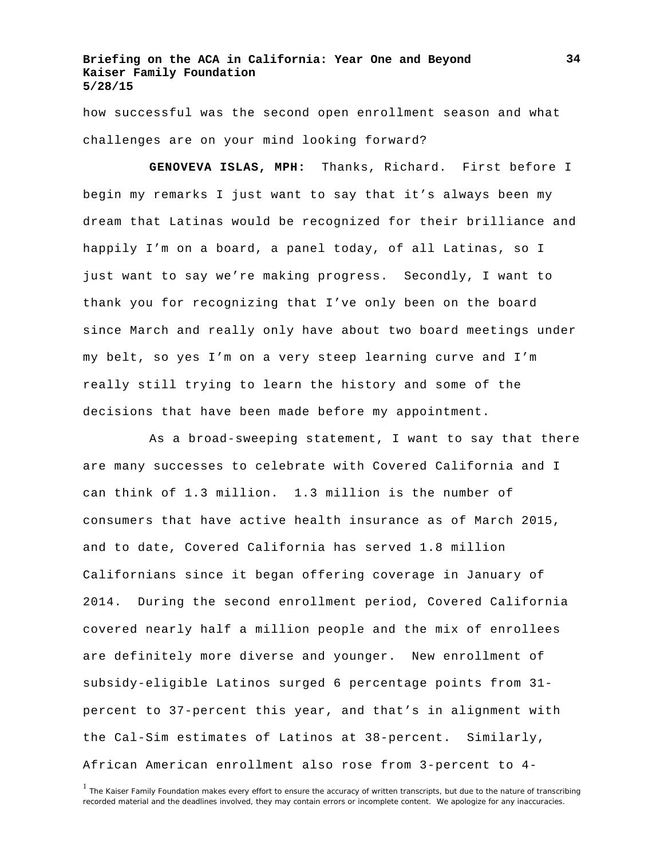how successful was the second open enrollment season and what challenges are on your mind looking forward?

**GENOVEVA ISLAS, MPH:** Thanks, Richard. First before I begin my remarks I just want to say that it's always been my dream that Latinas would be recognized for their brilliance and happily I'm on a board, a panel today, of all Latinas, so I just want to say we're making progress. Secondly, I want to thank you for recognizing that I've only been on the board since March and really only have about two board meetings under my belt, so yes I'm on a very steep learning curve and I'm really still trying to learn the history and some of the decisions that have been made before my appointment.

As a broad-sweeping statement, I want to say that there are many successes to celebrate with Covered California and I can think of 1.3 million. 1.3 million is the number of consumers that have active health insurance as of March 2015, and to date, Covered California has served 1.8 million Californians since it began offering coverage in January of 2014. During the second enrollment period, Covered California covered nearly half a million people and the mix of enrollees are definitely more diverse and younger. New enrollment of subsidy-eligible Latinos surged 6 percentage points from 31 percent to 37-percent this year, and that's in alignment with the Cal-Sim estimates of Latinos at 38-percent. Similarly, African American enrollment also rose from 3-percent to 4-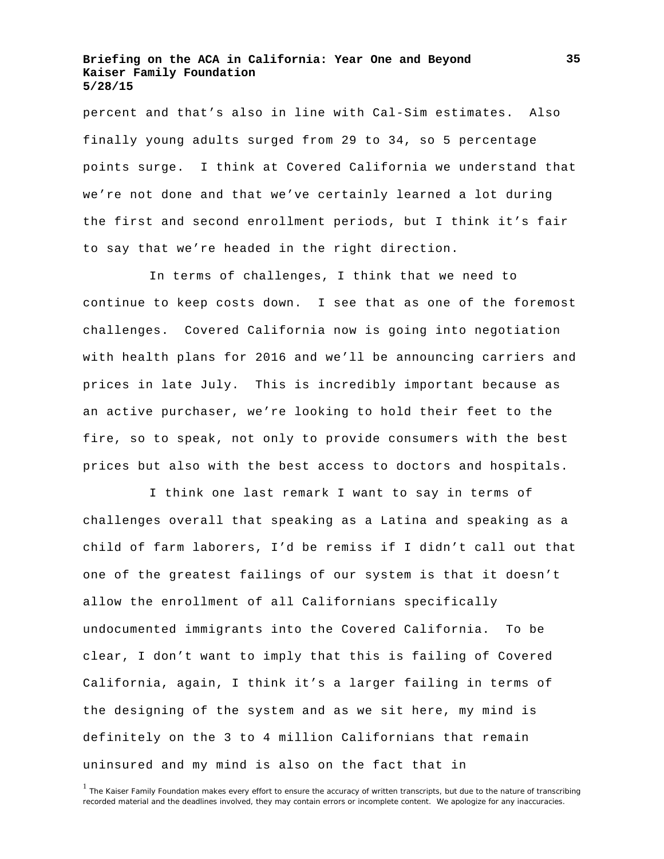percent and that's also in line with Cal-Sim estimates. Also finally young adults surged from 29 to 34, so 5 percentage points surge. I think at Covered California we understand that we're not done and that we've certainly learned a lot during the first and second enrollment periods, but I think it's fair to say that we're headed in the right direction.

In terms of challenges, I think that we need to continue to keep costs down. I see that as one of the foremost challenges. Covered California now is going into negotiation with health plans for 2016 and we'll be announcing carriers and prices in late July. This is incredibly important because as an active purchaser, we're looking to hold their feet to the fire, so to speak, not only to provide consumers with the best prices but also with the best access to doctors and hospitals.

I think one last remark I want to say in terms of challenges overall that speaking as a Latina and speaking as a child of farm laborers, I'd be remiss if I didn't call out that one of the greatest failings of our system is that it doesn't allow the enrollment of all Californians specifically undocumented immigrants into the Covered California. To be clear, I don't want to imply that this is failing of Covered California, again, I think it's a larger failing in terms of the designing of the system and as we sit here, my mind is definitely on the 3 to 4 million Californians that remain uninsured and my mind is also on the fact that in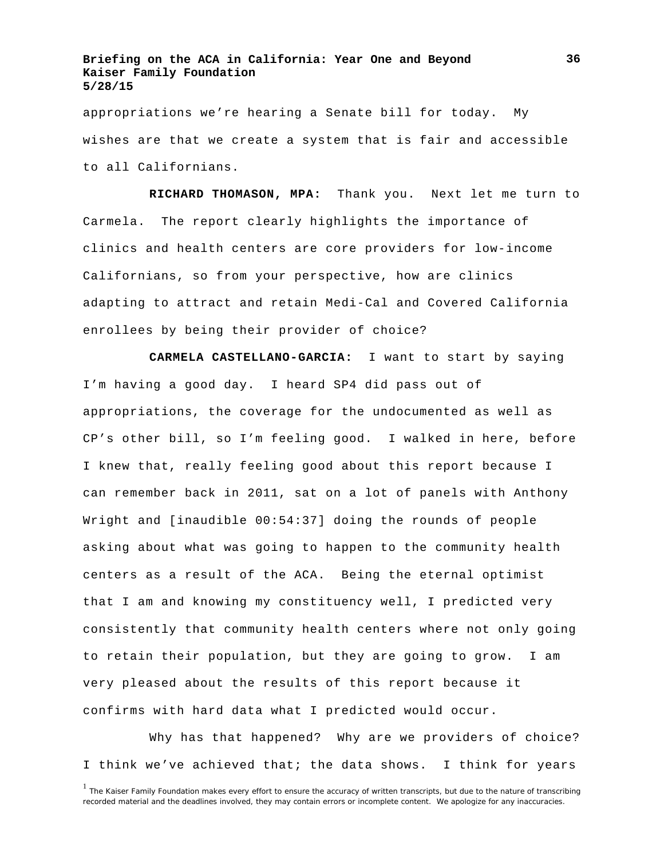appropriations we're hearing a Senate bill for today. My wishes are that we create a system that is fair and accessible to all Californians.

**RICHARD THOMASON, MPA:** Thank you. Next let me turn to Carmela. The report clearly highlights the importance of clinics and health centers are core providers for low-income Californians, so from your perspective, how are clinics adapting to attract and retain Medi-Cal and Covered California enrollees by being their provider of choice?

**CARMELA CASTELLANO-GARCIA:** I want to start by saying I'm having a good day. I heard SP4 did pass out of appropriations, the coverage for the undocumented as well as CP's other bill, so I'm feeling good. I walked in here, before I knew that, really feeling good about this report because I can remember back in 2011, sat on a lot of panels with Anthony Wright and [inaudible 00:54:37] doing the rounds of people asking about what was going to happen to the community health centers as a result of the ACA. Being the eternal optimist that I am and knowing my constituency well, I predicted very consistently that community health centers where not only going to retain their population, but they are going to grow. I am very pleased about the results of this report because it confirms with hard data what I predicted would occur.

Why has that happened? Why are we providers of choice? I think we've achieved that; the data shows. I think for years

<sup>&</sup>lt;sup>1</sup> The Kaiser Family Foundation makes every effort to ensure the accuracy of written transcripts, but due to the nature of transcribing recorded material and the deadlines involved, they may contain errors or incomplete content. We apologize for any inaccuracies.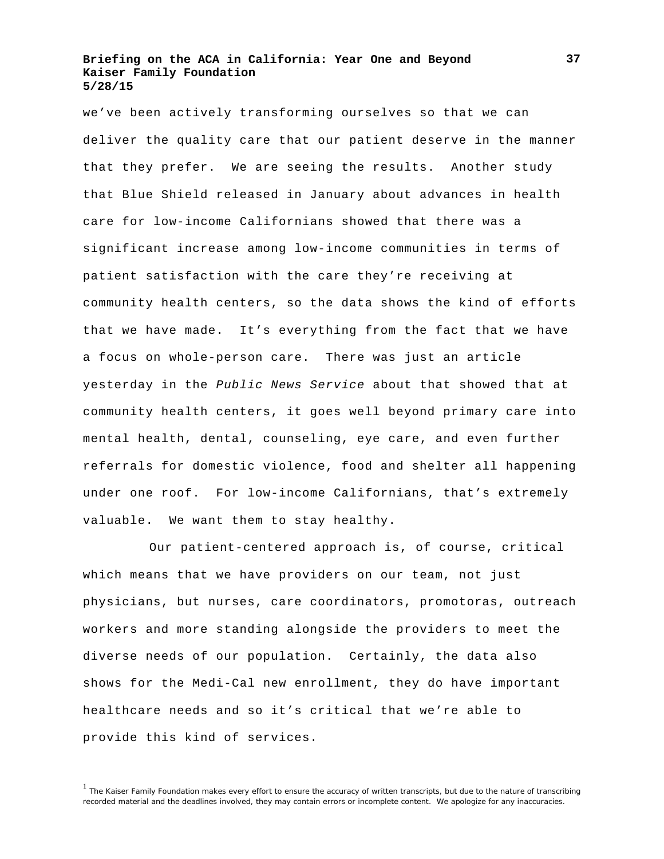we've been actively transforming ourselves so that we can deliver the quality care that our patient deserve in the manner that they prefer. We are seeing the results. Another study that Blue Shield released in January about advances in health care for low-income Californians showed that there was a significant increase among low-income communities in terms of patient satisfaction with the care they're receiving at community health centers, so the data shows the kind of efforts that we have made. It's everything from the fact that we have a focus on whole-person care. There was just an article yesterday in the *Public News Service* about that showed that at community health centers, it goes well beyond primary care into mental health, dental, counseling, eye care, and even further referrals for domestic violence, food and shelter all happening under one roof. For low-income Californians, that's extremely valuable. We want them to stay healthy.

Our patient-centered approach is, of course, critical which means that we have providers on our team, not just physicians, but nurses, care coordinators, promotoras, outreach workers and more standing alongside the providers to meet the diverse needs of our population. Certainly, the data also shows for the Medi-Cal new enrollment, they do have important healthcare needs and so it's critical that we're able to provide this kind of services.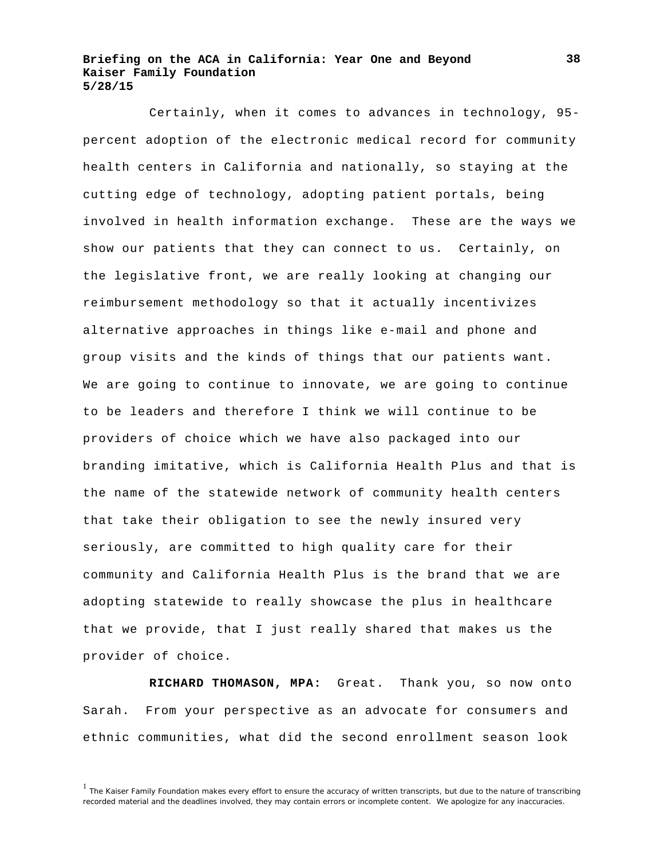Certainly, when it comes to advances in technology, 95 percent adoption of the electronic medical record for community health centers in California and nationally, so staying at the cutting edge of technology, adopting patient portals, being involved in health information exchange. These are the ways we show our patients that they can connect to us. Certainly, on the legislative front, we are really looking at changing our reimbursement methodology so that it actually incentivizes alternative approaches in things like e-mail and phone and group visits and the kinds of things that our patients want. We are going to continue to innovate, we are going to continue to be leaders and therefore I think we will continue to be providers of choice which we have also packaged into our branding imitative, which is California Health Plus and that is the name of the statewide network of community health centers that take their obligation to see the newly insured very seriously, are committed to high quality care for their community and California Health Plus is the brand that we are adopting statewide to really showcase the plus in healthcare that we provide, that I just really shared that makes us the provider of choice.

**RICHARD THOMASON, MPA:** Great. Thank you, so now onto Sarah. From your perspective as an advocate for consumers and ethnic communities, what did the second enrollment season look

<sup>&</sup>lt;sup>1</sup> The Kaiser Family Foundation makes every effort to ensure the accuracy of written transcripts, but due to the nature of transcribing recorded material and the deadlines involved, they may contain errors or incomplete content. We apologize for any inaccuracies.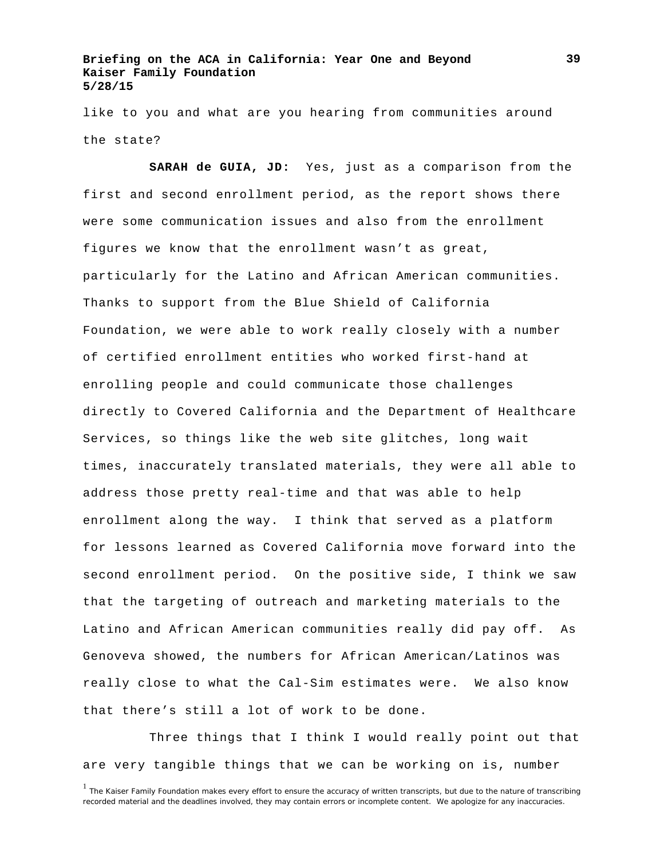like to you and what are you hearing from communities around the state?

**SARAH de GUIA, JD:** Yes, just as a comparison from the first and second enrollment period, as the report shows there were some communication issues and also from the enrollment figures we know that the enrollment wasn't as great, particularly for the Latino and African American communities. Thanks to support from the Blue Shield of California Foundation, we were able to work really closely with a number of certified enrollment entities who worked first-hand at enrolling people and could communicate those challenges directly to Covered California and the Department of Healthcare Services, so things like the web site glitches, long wait times, inaccurately translated materials, they were all able to address those pretty real-time and that was able to help enrollment along the way. I think that served as a platform for lessons learned as Covered California move forward into the second enrollment period. On the positive side, I think we saw that the targeting of outreach and marketing materials to the Latino and African American communities really did pay off. As Genoveva showed, the numbers for African American/Latinos was really close to what the Cal-Sim estimates were. We also know that there's still a lot of work to be done.

Three things that I think I would really point out that are very tangible things that we can be working on is, number

<sup>&</sup>lt;sup>1</sup> The Kaiser Family Foundation makes every effort to ensure the accuracy of written transcripts, but due to the nature of transcribing recorded material and the deadlines involved, they may contain errors or incomplete content. We apologize for any inaccuracies.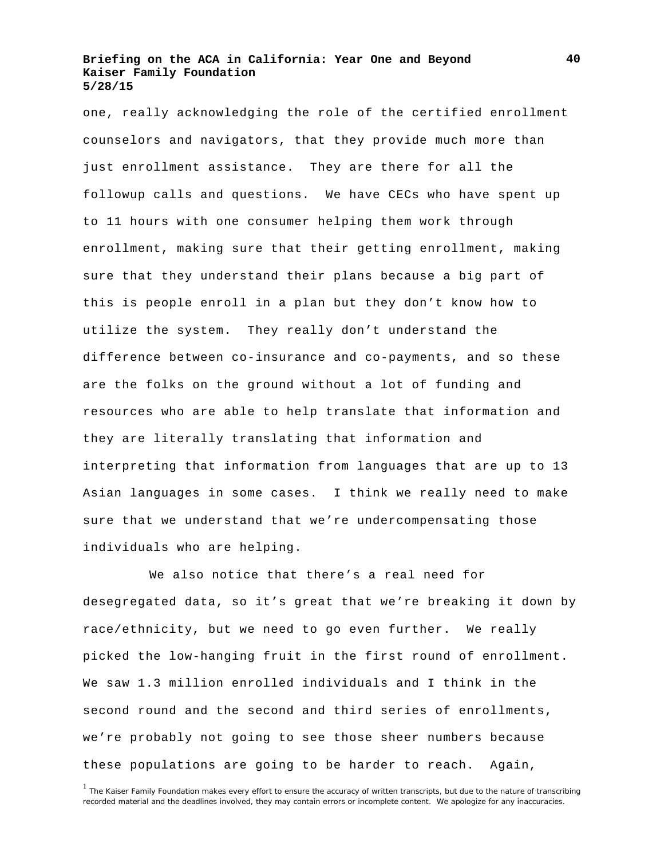one, really acknowledging the role of the certified enrollment counselors and navigators, that they provide much more than just enrollment assistance. They are there for all the followup calls and questions. We have CECs who have spent up to 11 hours with one consumer helping them work through enrollment, making sure that their getting enrollment, making sure that they understand their plans because a big part of this is people enroll in a plan but they don't know how to utilize the system. They really don't understand the difference between co-insurance and co-payments, and so these are the folks on the ground without a lot of funding and resources who are able to help translate that information and they are literally translating that information and interpreting that information from languages that are up to 13 Asian languages in some cases. I think we really need to make sure that we understand that we're undercompensating those individuals who are helping.

We also notice that there's a real need for desegregated data, so it's great that we're breaking it down by race/ethnicity, but we need to go even further. We really picked the low-hanging fruit in the first round of enrollment. We saw 1.3 million enrolled individuals and I think in the second round and the second and third series of enrollments, we're probably not going to see those sheer numbers because these populations are going to be harder to reach. Again,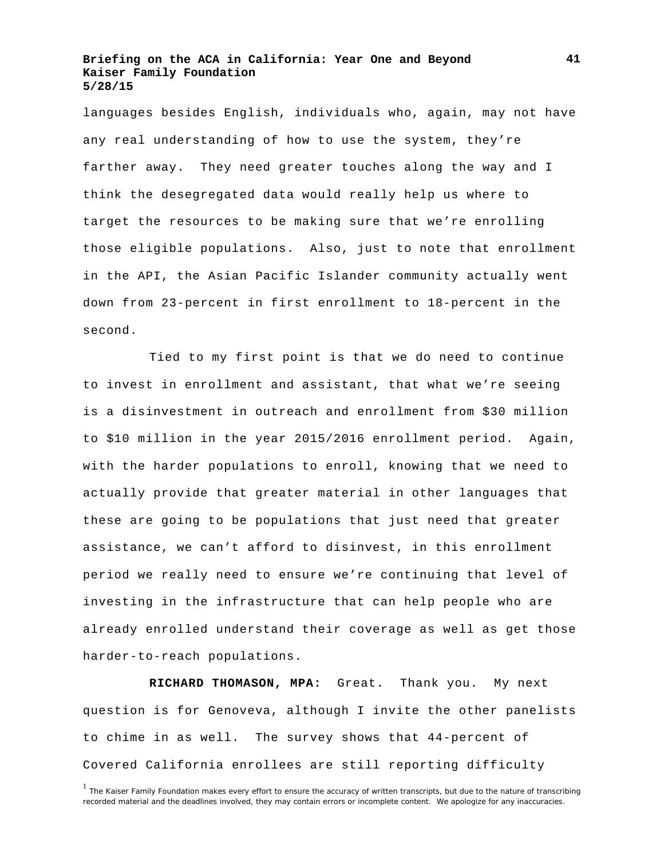languages besides English, individuals who, again, may not have any real understanding of how to use the system, they're farther away. They need greater touches along the way and I think the desegregated data would really help us where to target the resources to be making sure that we're enrolling those eligible populations. Also, just to note that enrollment in the API, the Asian Pacific Islander community actually went down from 23-percent in first enrollment to 18-percent in the second.

Tied to my first point is that we do need to continue to invest in enrollment and assistant, that what we're seeing is a disinvestment in outreach and enrollment from \$30 million to \$10 million in the year 2015/2016 enrollment period. Again, with the harder populations to enroll, knowing that we need to actually provide that greater material in other languages that these are going to be populations that just need that greater assistance, we can't afford to disinvest, in this enrollment period we really need to ensure we're continuing that level of investing in the infrastructure that can help people who are already enrolled understand their coverage as well as get those harder-to-reach populations.

**RICHARD THOMASON, MPA:** Great. Thank you. My next question is for Genoveva, although I invite the other panelists to chime in as well. The survey shows that 44-percent of Covered California enrollees are still reporting difficulty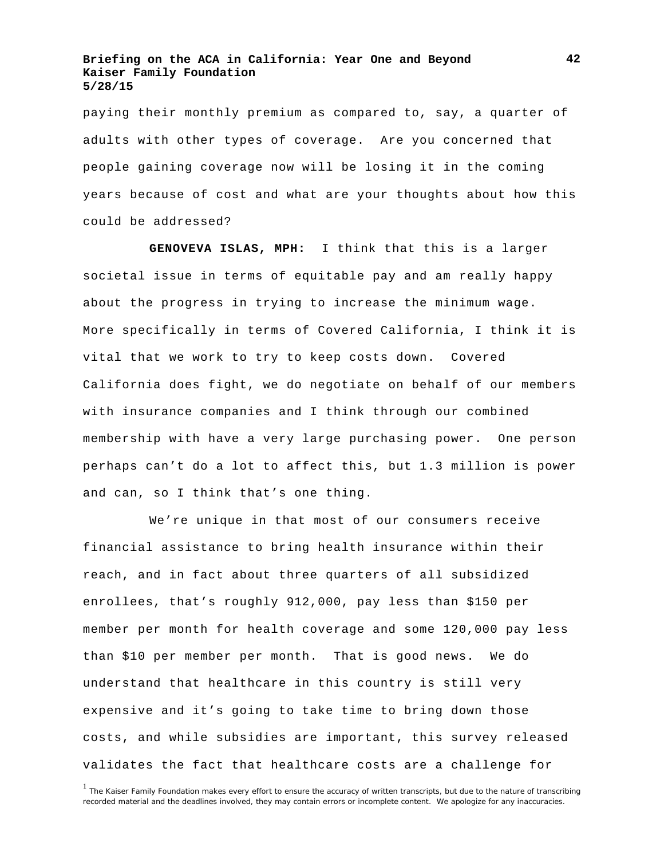paying their monthly premium as compared to, say, a quarter of adults with other types of coverage. Are you concerned that people gaining coverage now will be losing it in the coming years because of cost and what are your thoughts about how this could be addressed?

**GENOVEVA ISLAS, MPH:** I think that this is a larger societal issue in terms of equitable pay and am really happy about the progress in trying to increase the minimum wage. More specifically in terms of Covered California, I think it is vital that we work to try to keep costs down. Covered California does fight, we do negotiate on behalf of our members with insurance companies and I think through our combined membership with have a very large purchasing power. One person perhaps can't do a lot to affect this, but 1.3 million is power and can, so I think that's one thing.

We're unique in that most of our consumers receive financial assistance to bring health insurance within their reach, and in fact about three quarters of all subsidized enrollees, that's roughly 912,000, pay less than \$150 per member per month for health coverage and some 120,000 pay less than \$10 per member per month. That is good news. We do understand that healthcare in this country is still very expensive and it's going to take time to bring down those costs, and while subsidies are important, this survey released validates the fact that healthcare costs are a challenge for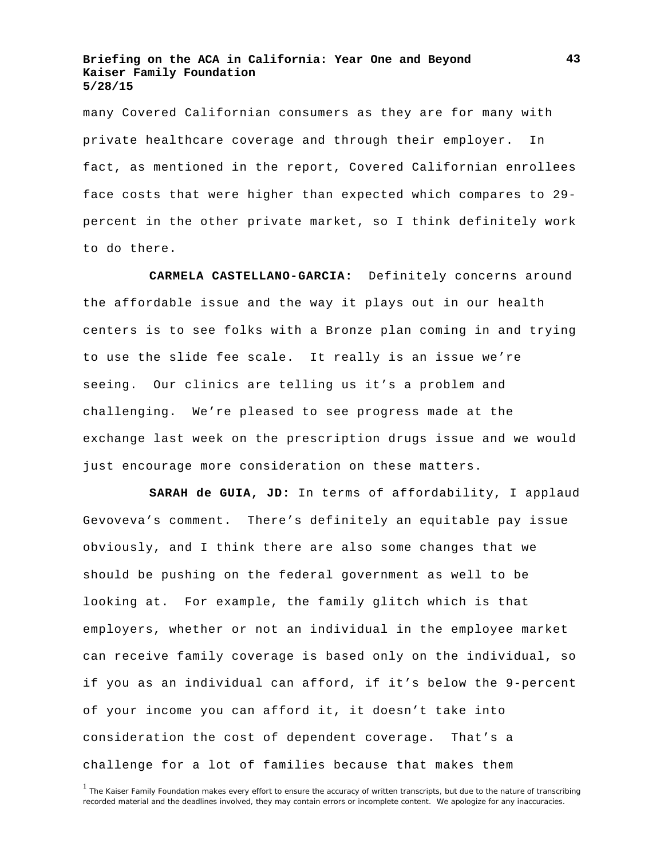many Covered Californian consumers as they are for many with private healthcare coverage and through their employer. In fact, as mentioned in the report, Covered Californian enrollees face costs that were higher than expected which compares to 29 percent in the other private market, so I think definitely work to do there.

**CARMELA CASTELLANO-GARCIA:** Definitely concerns around the affordable issue and the way it plays out in our health centers is to see folks with a Bronze plan coming in and trying to use the slide fee scale. It really is an issue we're seeing. Our clinics are telling us it's a problem and challenging. We're pleased to see progress made at the exchange last week on the prescription drugs issue and we would just encourage more consideration on these matters.

**SARAH de GUIA, JD:** In terms of affordability, I applaud Gevoveva's comment. There's definitely an equitable pay issue obviously, and I think there are also some changes that we should be pushing on the federal government as well to be looking at. For example, the family glitch which is that employers, whether or not an individual in the employee market can receive family coverage is based only on the individual, so if you as an individual can afford, if it's below the 9-percent of your income you can afford it, it doesn't take into consideration the cost of dependent coverage. That's a challenge for a lot of families because that makes them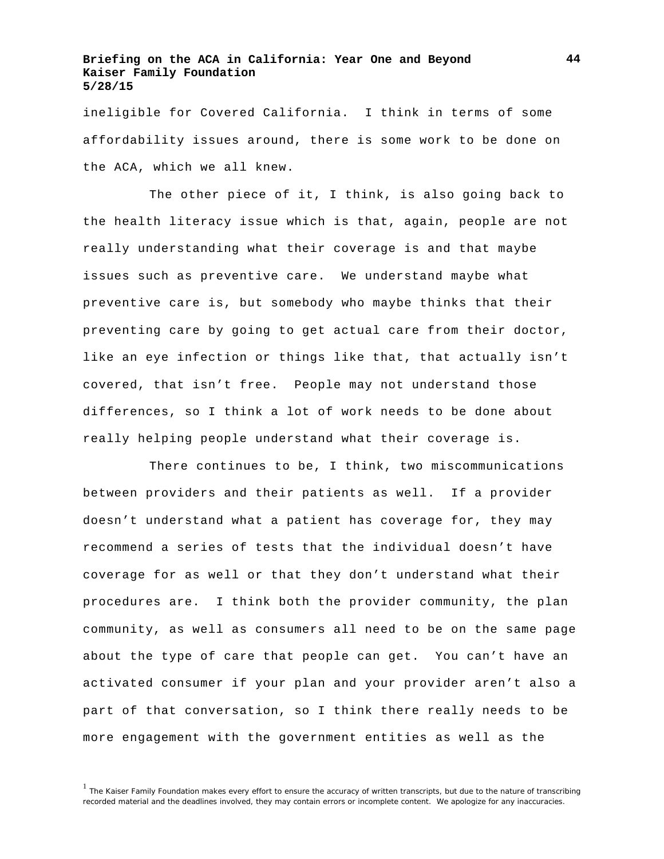ineligible for Covered California. I think in terms of some affordability issues around, there is some work to be done on the ACA, which we all knew.

The other piece of it, I think, is also going back to the health literacy issue which is that, again, people are not really understanding what their coverage is and that maybe issues such as preventive care. We understand maybe what preventive care is, but somebody who maybe thinks that their preventing care by going to get actual care from their doctor, like an eye infection or things like that, that actually isn't covered, that isn't free. People may not understand those differences, so I think a lot of work needs to be done about really helping people understand what their coverage is.

There continues to be, I think, two miscommunications between providers and their patients as well. If a provider doesn't understand what a patient has coverage for, they may recommend a series of tests that the individual doesn't have coverage for as well or that they don't understand what their procedures are. I think both the provider community, the plan community, as well as consumers all need to be on the same page about the type of care that people can get. You can't have an activated consumer if your plan and your provider aren't also a part of that conversation, so I think there really needs to be more engagement with the government entities as well as the

<sup>&</sup>lt;sup>1</sup> The Kaiser Family Foundation makes every effort to ensure the accuracy of written transcripts, but due to the nature of transcribing recorded material and the deadlines involved, they may contain errors or incomplete content. We apologize for any inaccuracies.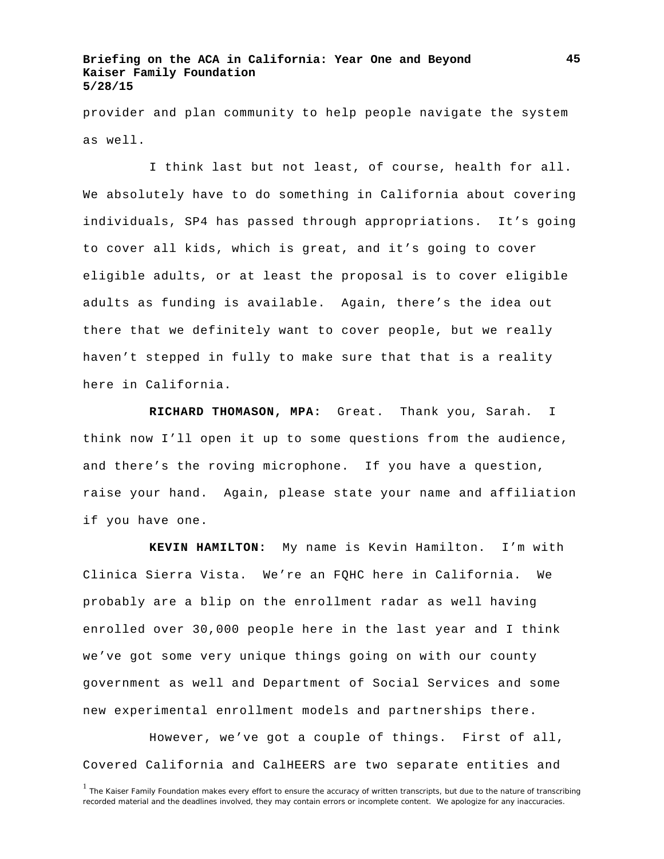provider and plan community to help people navigate the system as well.

I think last but not least, of course, health for all. We absolutely have to do something in California about covering individuals, SP4 has passed through appropriations. It's going to cover all kids, which is great, and it's going to cover eligible adults, or at least the proposal is to cover eligible adults as funding is available. Again, there's the idea out there that we definitely want to cover people, but we really haven't stepped in fully to make sure that that is a reality here in California.

**RICHARD THOMASON, MPA:** Great. Thank you, Sarah. I think now I'll open it up to some questions from the audience, and there's the roving microphone. If you have a question, raise your hand. Again, please state your name and affiliation if you have one.

**KEVIN HAMILTON:** My name is Kevin Hamilton. I'm with Clinica Sierra Vista. We're an FQHC here in California. We probably are a blip on the enrollment radar as well having enrolled over 30,000 people here in the last year and I think we've got some very unique things going on with our county government as well and Department of Social Services and some new experimental enrollment models and partnerships there.

However, we've got a couple of things. First of all, Covered California and CalHEERS are two separate entities and

<sup>&</sup>lt;sup>1</sup> The Kaiser Family Foundation makes every effort to ensure the accuracy of written transcripts, but due to the nature of transcribing recorded material and the deadlines involved, they may contain errors or incomplete content. We apologize for any inaccuracies.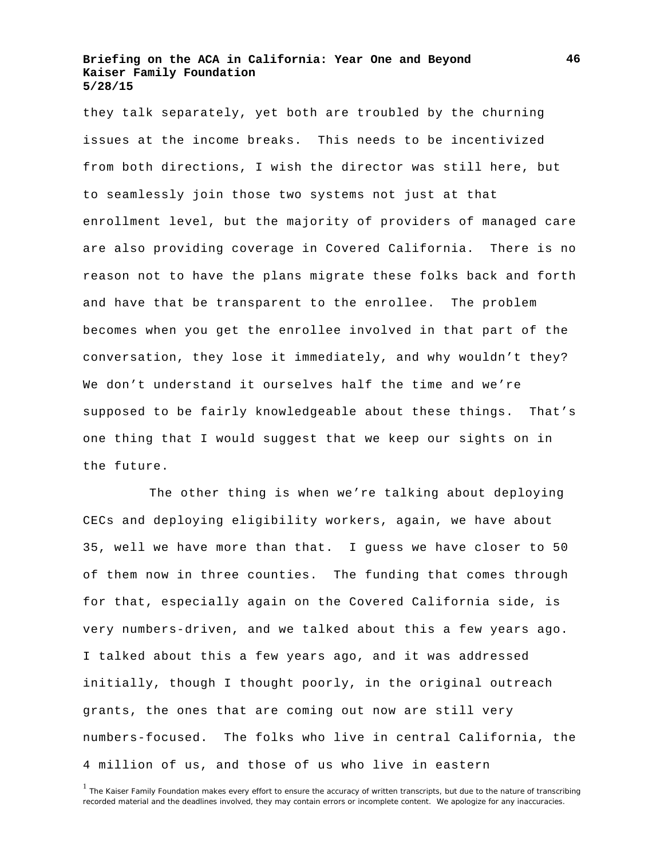they talk separately, yet both are troubled by the churning issues at the income breaks. This needs to be incentivized from both directions, I wish the director was still here, but to seamlessly join those two systems not just at that enrollment level, but the majority of providers of managed care are also providing coverage in Covered California. There is no reason not to have the plans migrate these folks back and forth and have that be transparent to the enrollee. The problem becomes when you get the enrollee involved in that part of the conversation, they lose it immediately, and why wouldn't they? We don't understand it ourselves half the time and we're supposed to be fairly knowledgeable about these things. That's one thing that I would suggest that we keep our sights on in the future.

The other thing is when we're talking about deploying CECs and deploying eligibility workers, again, we have about 35, well we have more than that. I guess we have closer to 50 of them now in three counties. The funding that comes through for that, especially again on the Covered California side, is very numbers-driven, and we talked about this a few years ago. I talked about this a few years ago, and it was addressed initially, though I thought poorly, in the original outreach grants, the ones that are coming out now are still very numbers-focused. The folks who live in central California, the 4 million of us, and those of us who live in eastern

<sup>&</sup>lt;sup>1</sup> The Kaiser Family Foundation makes every effort to ensure the accuracy of written transcripts, but due to the nature of transcribing recorded material and the deadlines involved, they may contain errors or incomplete content. We apologize for any inaccuracies.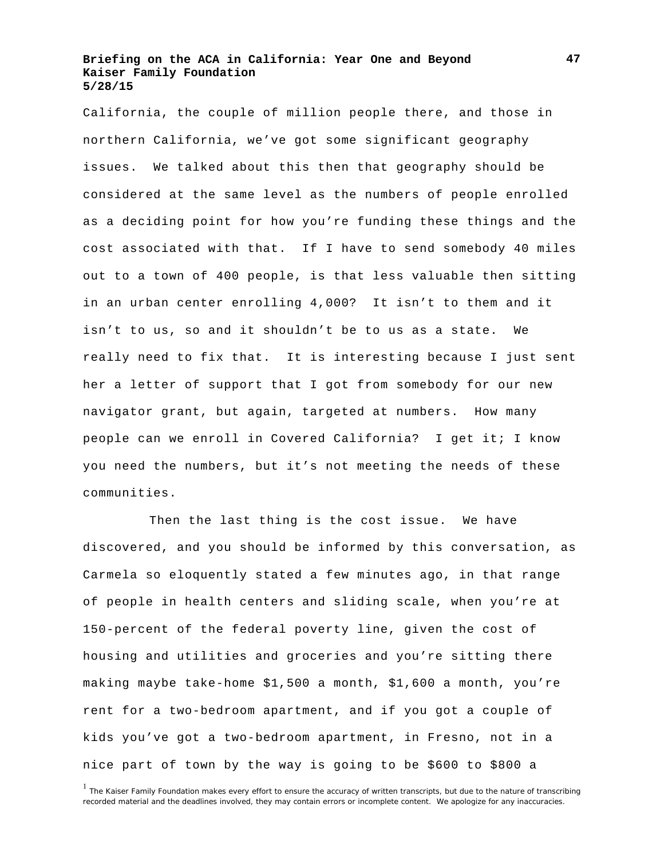California, the couple of million people there, and those in northern California, we've got some significant geography issues. We talked about this then that geography should be considered at the same level as the numbers of people enrolled as a deciding point for how you're funding these things and the cost associated with that. If I have to send somebody 40 miles out to a town of 400 people, is that less valuable then sitting in an urban center enrolling 4,000? It isn't to them and it isn't to us, so and it shouldn't be to us as a state. We really need to fix that. It is interesting because I just sent her a letter of support that I got from somebody for our new navigator grant, but again, targeted at numbers. How many people can we enroll in Covered California? I get it; I know you need the numbers, but it's not meeting the needs of these communities.

Then the last thing is the cost issue. We have discovered, and you should be informed by this conversation, as Carmela so eloquently stated a few minutes ago, in that range of people in health centers and sliding scale, when you're at 150-percent of the federal poverty line, given the cost of housing and utilities and groceries and you're sitting there making maybe take-home \$1,500 a month, \$1,600 a month, you're rent for a two-bedroom apartment, and if you got a couple of kids you've got a two-bedroom apartment, in Fresno, not in a nice part of town by the way is going to be \$600 to \$800 a

<sup>&</sup>lt;sup>1</sup> The Kaiser Family Foundation makes every effort to ensure the accuracy of written transcripts, but due to the nature of transcribing recorded material and the deadlines involved, they may contain errors or incomplete content. We apologize for any inaccuracies.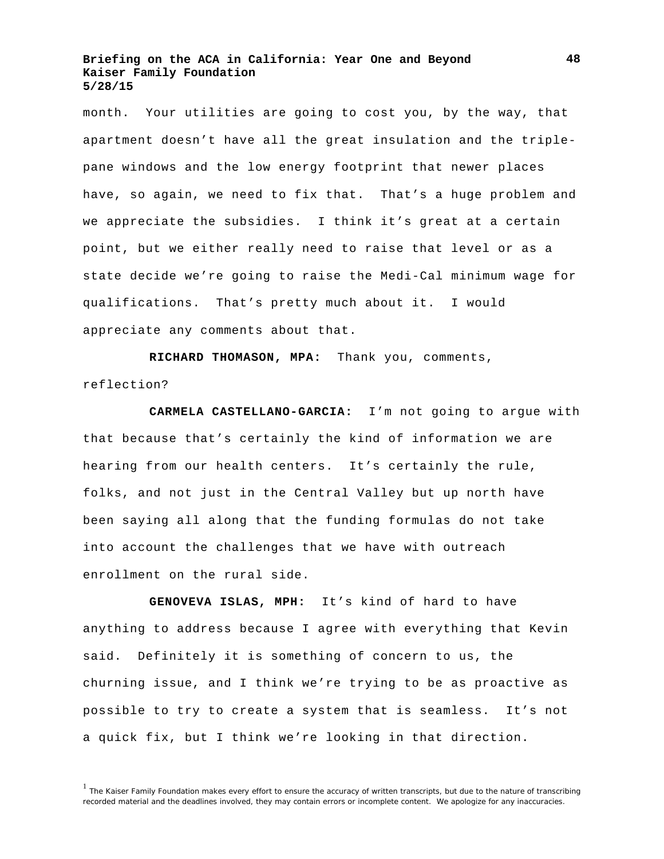month. Your utilities are going to cost you, by the way, that apartment doesn't have all the great insulation and the triplepane windows and the low energy footprint that newer places have, so again, we need to fix that. That's a huge problem and we appreciate the subsidies. I think it's great at a certain point, but we either really need to raise that level or as a state decide we're going to raise the Medi-Cal minimum wage for qualifications. That's pretty much about it. I would appreciate any comments about that.

**RICHARD THOMASON, MPA:** Thank you, comments, reflection?

**CARMELA CASTELLANO-GARCIA:** I'm not going to argue with that because that's certainly the kind of information we are hearing from our health centers. It's certainly the rule, folks, and not just in the Central Valley but up north have been saying all along that the funding formulas do not take into account the challenges that we have with outreach enrollment on the rural side.

**GENOVEVA ISLAS, MPH:** It's kind of hard to have anything to address because I agree with everything that Kevin said. Definitely it is something of concern to us, the churning issue, and I think we're trying to be as proactive as possible to try to create a system that is seamless. It's not a quick fix, but I think we're looking in that direction.

<sup>&</sup>lt;sup>1</sup> The Kaiser Family Foundation makes every effort to ensure the accuracy of written transcripts, but due to the nature of transcribing recorded material and the deadlines involved, they may contain errors or incomplete content. We apologize for any inaccuracies.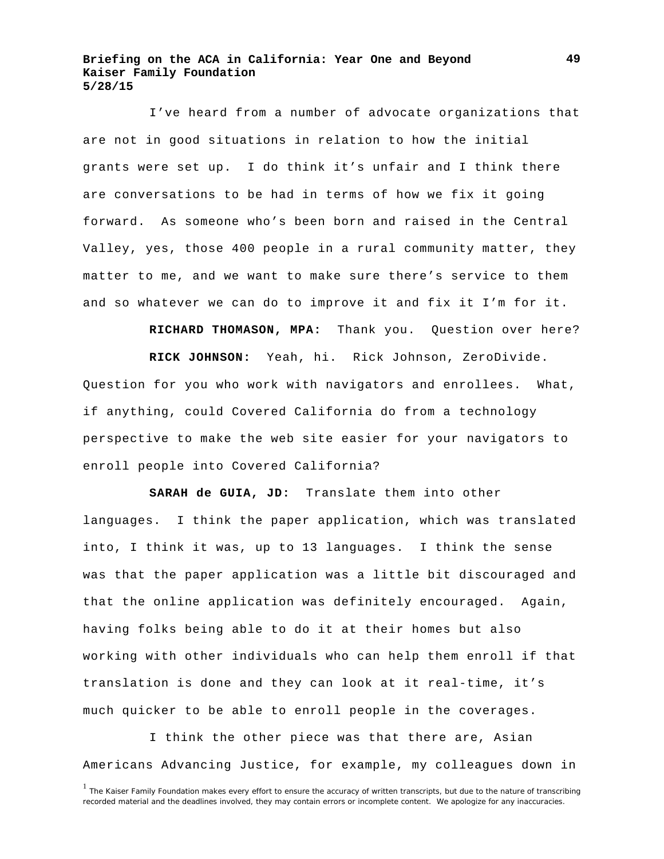I've heard from a number of advocate organizations that are not in good situations in relation to how the initial grants were set up. I do think it's unfair and I think there are conversations to be had in terms of how we fix it going forward. As someone who's been born and raised in the Central Valley, yes, those 400 people in a rural community matter, they matter to me, and we want to make sure there's service to them and so whatever we can do to improve it and fix it I'm for it.

**RICHARD THOMASON, MPA:** Thank you. Question over here?

**RICK JOHNSON:** Yeah, hi. Rick Johnson, ZeroDivide. Question for you who work with navigators and enrollees. What, if anything, could Covered California do from a technology perspective to make the web site easier for your navigators to enroll people into Covered California?

**SARAH de GUIA, JD:** Translate them into other languages. I think the paper application, which was translated into, I think it was, up to 13 languages. I think the sense was that the paper application was a little bit discouraged and that the online application was definitely encouraged. Again, having folks being able to do it at their homes but also working with other individuals who can help them enroll if that translation is done and they can look at it real-time, it's much quicker to be able to enroll people in the coverages.

I think the other piece was that there are, Asian Americans Advancing Justice, for example, my colleagues down in

<sup>&</sup>lt;sup>1</sup> The Kaiser Family Foundation makes every effort to ensure the accuracy of written transcripts, but due to the nature of transcribing recorded material and the deadlines involved, they may contain errors or incomplete content. We apologize for any inaccuracies.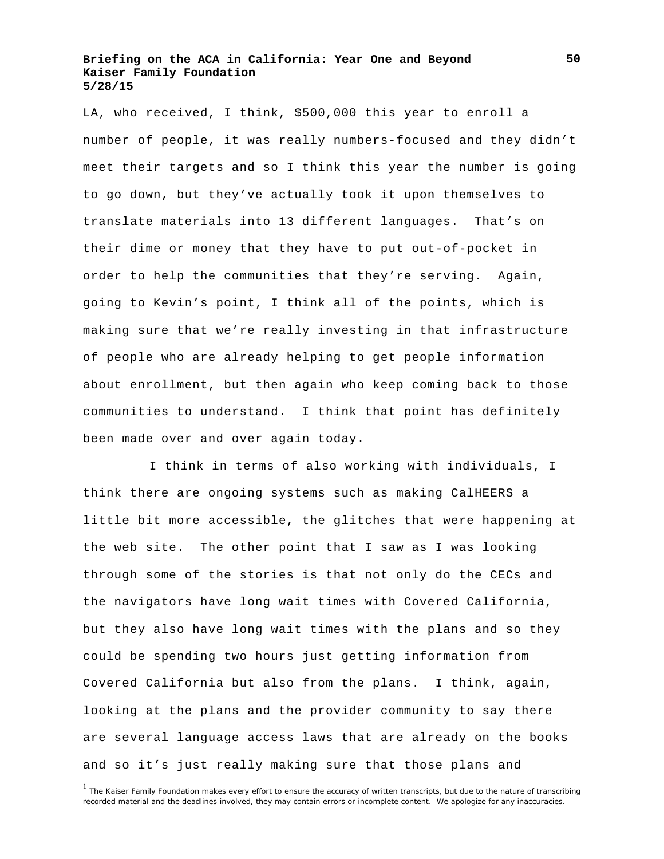LA, who received, I think, \$500,000 this year to enroll a number of people, it was really numbers-focused and they didn't meet their targets and so I think this year the number is going to go down, but they've actually took it upon themselves to translate materials into 13 different languages. That's on their dime or money that they have to put out-of-pocket in order to help the communities that they're serving. Again, going to Kevin's point, I think all of the points, which is making sure that we're really investing in that infrastructure of people who are already helping to get people information about enrollment, but then again who keep coming back to those communities to understand. I think that point has definitely been made over and over again today.

I think in terms of also working with individuals, I think there are ongoing systems such as making CalHEERS a little bit more accessible, the glitches that were happening at the web site. The other point that I saw as I was looking through some of the stories is that not only do the CECs and the navigators have long wait times with Covered California, but they also have long wait times with the plans and so they could be spending two hours just getting information from Covered California but also from the plans. I think, again, looking at the plans and the provider community to say there are several language access laws that are already on the books and so it's just really making sure that those plans and

<sup>&</sup>lt;sup>1</sup> The Kaiser Family Foundation makes every effort to ensure the accuracy of written transcripts, but due to the nature of transcribing recorded material and the deadlines involved, they may contain errors or incomplete content. We apologize for any inaccuracies.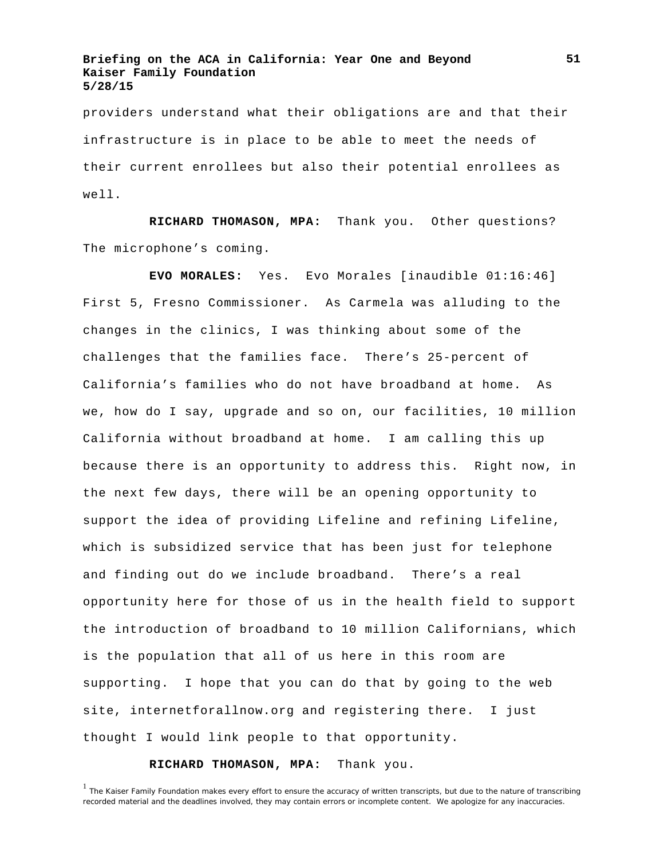providers understand what their obligations are and that their infrastructure is in place to be able to meet the needs of their current enrollees but also their potential enrollees as well.

**RICHARD THOMASON, MPA:** Thank you. Other questions? The microphone's coming.

**EVO MORALES:** Yes. Evo Morales [inaudible 01:16:46] First 5, Fresno Commissioner. As Carmela was alluding to the changes in the clinics, I was thinking about some of the challenges that the families face. There's 25-percent of California's families who do not have broadband at home. As we, how do I say, upgrade and so on, our facilities, 10 million California without broadband at home. I am calling this up because there is an opportunity to address this. Right now, in the next few days, there will be an opening opportunity to support the idea of providing Lifeline and refining Lifeline, which is subsidized service that has been just for telephone and finding out do we include broadband. There's a real opportunity here for those of us in the health field to support the introduction of broadband to 10 million Californians, which is the population that all of us here in this room are supporting. I hope that you can do that by going to the web site, internetforallnow.org and registering there. I just thought I would link people to that opportunity.

# **RICHARD THOMASON, MPA:** Thank you.

<sup>&</sup>lt;sup>1</sup> The Kaiser Family Foundation makes every effort to ensure the accuracy of written transcripts, but due to the nature of transcribing recorded material and the deadlines involved, they may contain errors or incomplete content. We apologize for any inaccuracies.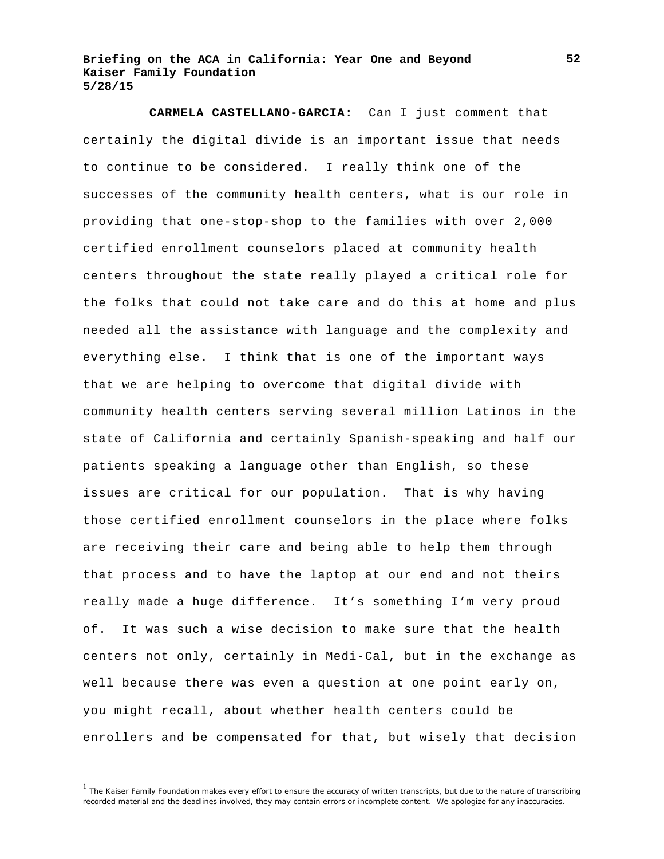**CARMELA CASTELLANO-GARCIA:** Can I just comment that certainly the digital divide is an important issue that needs to continue to be considered. I really think one of the successes of the community health centers, what is our role in providing that one-stop-shop to the families with over 2,000 certified enrollment counselors placed at community health centers throughout the state really played a critical role for the folks that could not take care and do this at home and plus needed all the assistance with language and the complexity and everything else. I think that is one of the important ways that we are helping to overcome that digital divide with community health centers serving several million Latinos in the state of California and certainly Spanish-speaking and half our patients speaking a language other than English, so these issues are critical for our population. That is why having those certified enrollment counselors in the place where folks are receiving their care and being able to help them through that process and to have the laptop at our end and not theirs really made a huge difference. It's something I'm very proud of. It was such a wise decision to make sure that the health centers not only, certainly in Medi-Cal, but in the exchange as well because there was even a question at one point early on, you might recall, about whether health centers could be enrollers and be compensated for that, but wisely that decision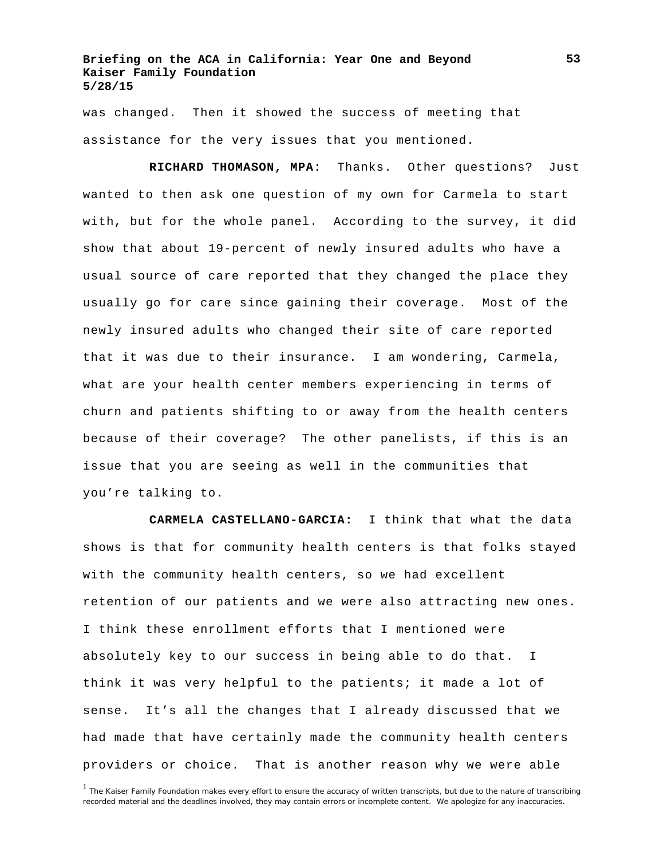was changed. Then it showed the success of meeting that assistance for the very issues that you mentioned.

**RICHARD THOMASON, MPA:** Thanks. Other questions? Just wanted to then ask one question of my own for Carmela to start with, but for the whole panel. According to the survey, it did show that about 19-percent of newly insured adults who have a usual source of care reported that they changed the place they usually go for care since gaining their coverage. Most of the newly insured adults who changed their site of care reported that it was due to their insurance. I am wondering, Carmela, what are your health center members experiencing in terms of churn and patients shifting to or away from the health centers because of their coverage? The other panelists, if this is an issue that you are seeing as well in the communities that you're talking to.

**CARMELA CASTELLANO-GARCIA:** I think that what the data shows is that for community health centers is that folks stayed with the community health centers, so we had excellent retention of our patients and we were also attracting new ones. I think these enrollment efforts that I mentioned were absolutely key to our success in being able to do that. I think it was very helpful to the patients; it made a lot of sense. It's all the changes that I already discussed that we had made that have certainly made the community health centers providers or choice. That is another reason why we were able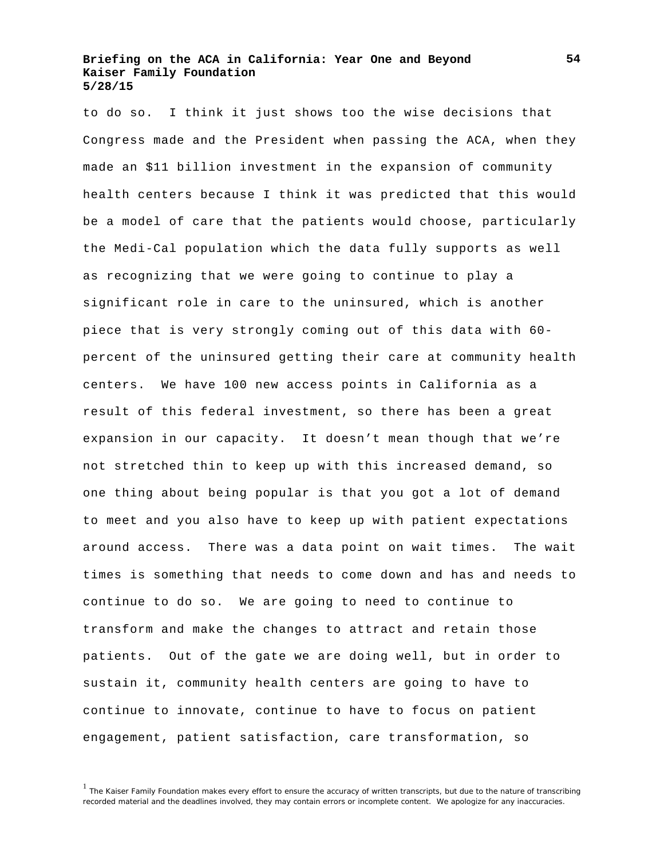to do so. I think it just shows too the wise decisions that Congress made and the President when passing the ACA, when they made an \$11 billion investment in the expansion of community health centers because I think it was predicted that this would be a model of care that the patients would choose, particularly the Medi-Cal population which the data fully supports as well as recognizing that we were going to continue to play a significant role in care to the uninsured, which is another piece that is very strongly coming out of this data with 60 percent of the uninsured getting their care at community health centers. We have 100 new access points in California as a result of this federal investment, so there has been a great expansion in our capacity. It doesn't mean though that we're not stretched thin to keep up with this increased demand, so one thing about being popular is that you got a lot of demand to meet and you also have to keep up with patient expectations around access. There was a data point on wait times. The wait times is something that needs to come down and has and needs to continue to do so. We are going to need to continue to transform and make the changes to attract and retain those patients. Out of the gate we are doing well, but in order to sustain it, community health centers are going to have to continue to innovate, continue to have to focus on patient engagement, patient satisfaction, care transformation, so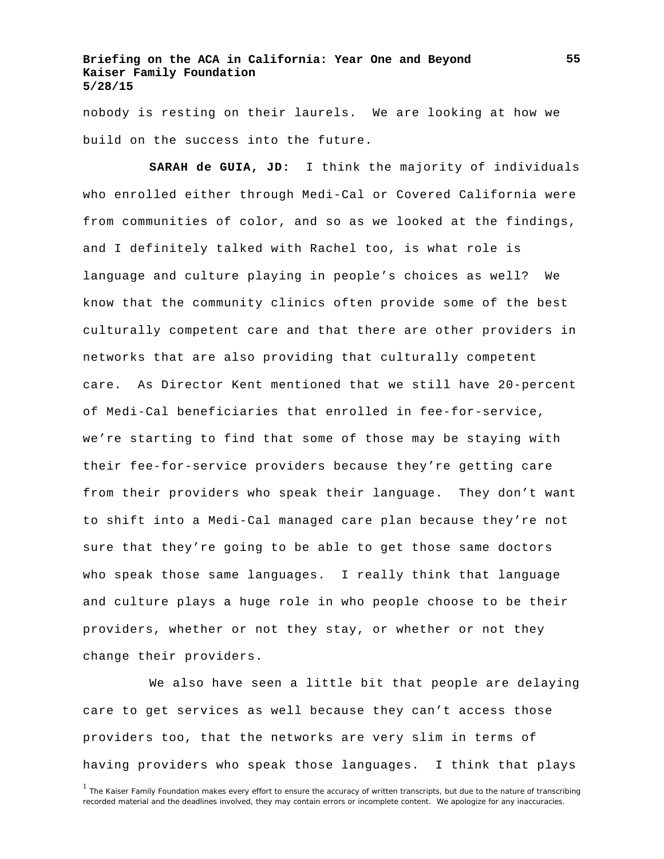nobody is resting on their laurels. We are looking at how we build on the success into the future.

**SARAH de GUIA, JD:** I think the majority of individuals who enrolled either through Medi-Cal or Covered California were from communities of color, and so as we looked at the findings, and I definitely talked with Rachel too, is what role is language and culture playing in people's choices as well? We know that the community clinics often provide some of the best culturally competent care and that there are other providers in networks that are also providing that culturally competent care. As Director Kent mentioned that we still have 20-percent of Medi-Cal beneficiaries that enrolled in fee-for-service, we're starting to find that some of those may be staying with their fee-for-service providers because they're getting care from their providers who speak their language. They don't want to shift into a Medi-Cal managed care plan because they're not sure that they're going to be able to get those same doctors who speak those same languages. I really think that language and culture plays a huge role in who people choose to be their providers, whether or not they stay, or whether or not they change their providers.

We also have seen a little bit that people are delaying care to get services as well because they can't access those providers too, that the networks are very slim in terms of having providers who speak those languages. I think that plays

<sup>&</sup>lt;sup>1</sup> The Kaiser Family Foundation makes every effort to ensure the accuracy of written transcripts, but due to the nature of transcribing recorded material and the deadlines involved, they may contain errors or incomplete content. We apologize for any inaccuracies.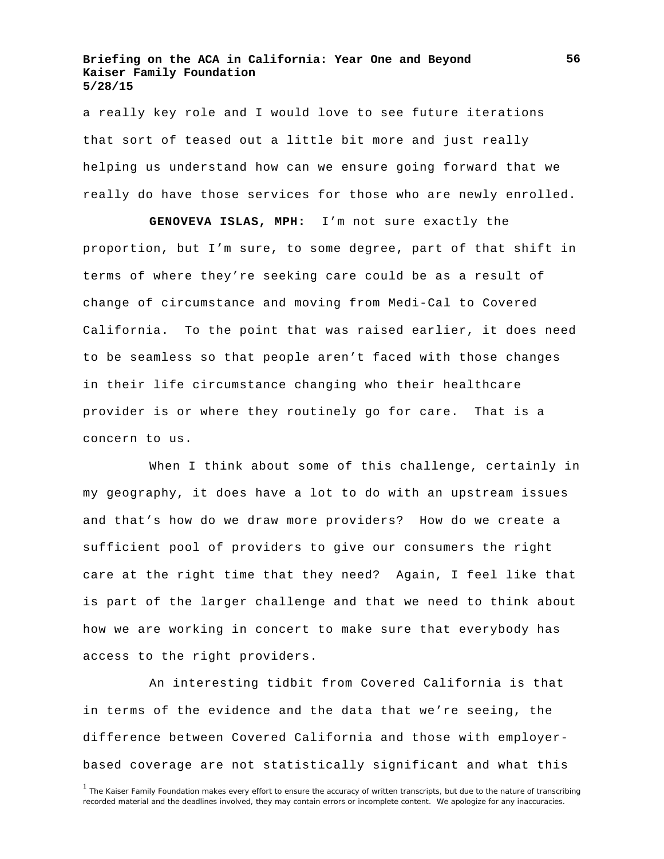a really key role and I would love to see future iterations that sort of teased out a little bit more and just really helping us understand how can we ensure going forward that we really do have those services for those who are newly enrolled.

**GENOVEVA ISLAS, MPH:** I'm not sure exactly the proportion, but I'm sure, to some degree, part of that shift in terms of where they're seeking care could be as a result of change of circumstance and moving from Medi-Cal to Covered California. To the point that was raised earlier, it does need to be seamless so that people aren't faced with those changes in their life circumstance changing who their healthcare provider is or where they routinely go for care. That is a concern to us.

When I think about some of this challenge, certainly in my geography, it does have a lot to do with an upstream issues and that's how do we draw more providers? How do we create a sufficient pool of providers to give our consumers the right care at the right time that they need? Again, I feel like that is part of the larger challenge and that we need to think about how we are working in concert to make sure that everybody has access to the right providers.

An interesting tidbit from Covered California is that in terms of the evidence and the data that we're seeing, the difference between Covered California and those with employerbased coverage are not statistically significant and what this

<sup>&</sup>lt;sup>1</sup> The Kaiser Family Foundation makes every effort to ensure the accuracy of written transcripts, but due to the nature of transcribing recorded material and the deadlines involved, they may contain errors or incomplete content. We apologize for any inaccuracies.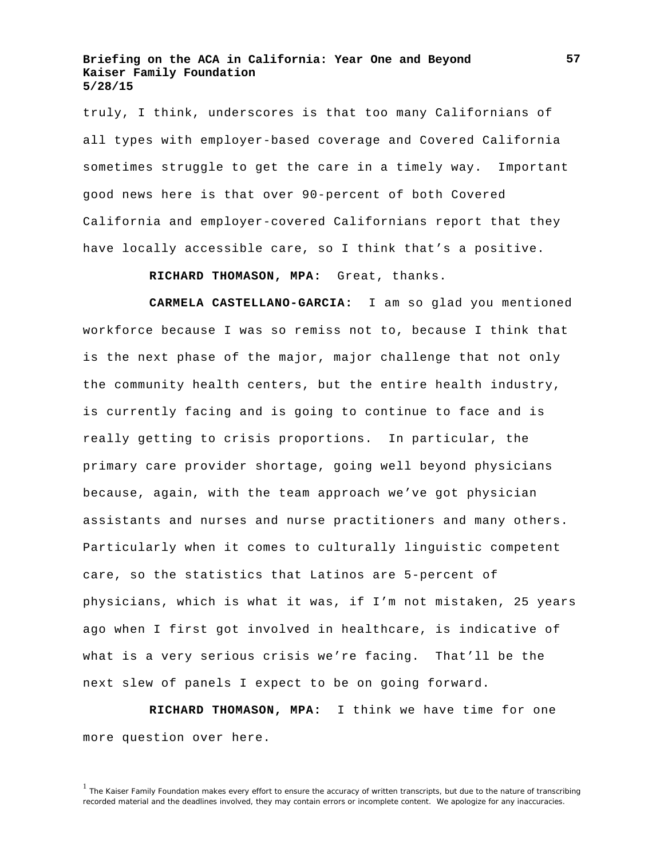truly, I think, underscores is that too many Californians of all types with employer-based coverage and Covered California sometimes struggle to get the care in a timely way. Important good news here is that over 90-percent of both Covered California and employer-covered Californians report that they have locally accessible care, so I think that's a positive.

**RICHARD THOMASON, MPA:** Great, thanks.

**CARMELA CASTELLANO-GARCIA:** I am so glad you mentioned workforce because I was so remiss not to, because I think that is the next phase of the major, major challenge that not only the community health centers, but the entire health industry, is currently facing and is going to continue to face and is really getting to crisis proportions. In particular, the primary care provider shortage, going well beyond physicians because, again, with the team approach we've got physician assistants and nurses and nurse practitioners and many others. Particularly when it comes to culturally linguistic competent care, so the statistics that Latinos are 5-percent of physicians, which is what it was, if I'm not mistaken, 25 years ago when I first got involved in healthcare, is indicative of what is a very serious crisis we're facing. That'll be the next slew of panels I expect to be on going forward.

**RICHARD THOMASON, MPA:** I think we have time for one more question over here.

<sup>&</sup>lt;sup>1</sup> The Kaiser Family Foundation makes every effort to ensure the accuracy of written transcripts, but due to the nature of transcribing recorded material and the deadlines involved, they may contain errors or incomplete content. We apologize for any inaccuracies.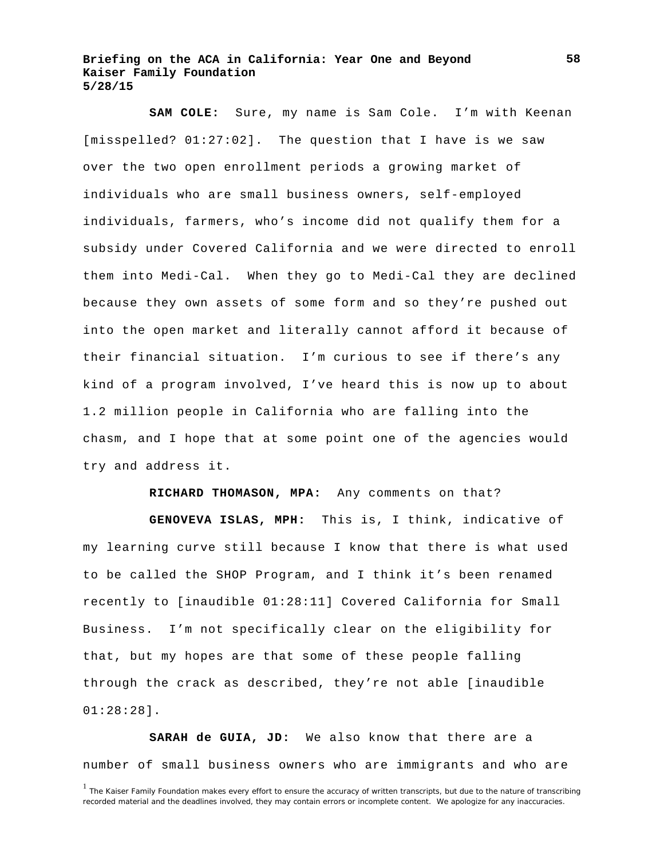**SAM COLE:** Sure, my name is Sam Cole. I'm with Keenan [misspelled? 01:27:02]. The question that I have is we saw over the two open enrollment periods a growing market of individuals who are small business owners, self-employed individuals, farmers, who's income did not qualify them for a subsidy under Covered California and we were directed to enroll them into Medi-Cal. When they go to Medi-Cal they are declined because they own assets of some form and so they're pushed out into the open market and literally cannot afford it because of their financial situation. I'm curious to see if there's any kind of a program involved, I've heard this is now up to about 1.2 million people in California who are falling into the chasm, and I hope that at some point one of the agencies would try and address it.

**RICHARD THOMASON, MPA:** Any comments on that?

**GENOVEVA ISLAS, MPH:** This is, I think, indicative of my learning curve still because I know that there is what used to be called the SHOP Program, and I think it's been renamed recently to [inaudible 01:28:11] Covered California for Small Business. I'm not specifically clear on the eligibility for that, but my hopes are that some of these people falling through the crack as described, they're not able [inaudible 01:28:28].

**SARAH de GUIA, JD:** We also know that there are a number of small business owners who are immigrants and who are